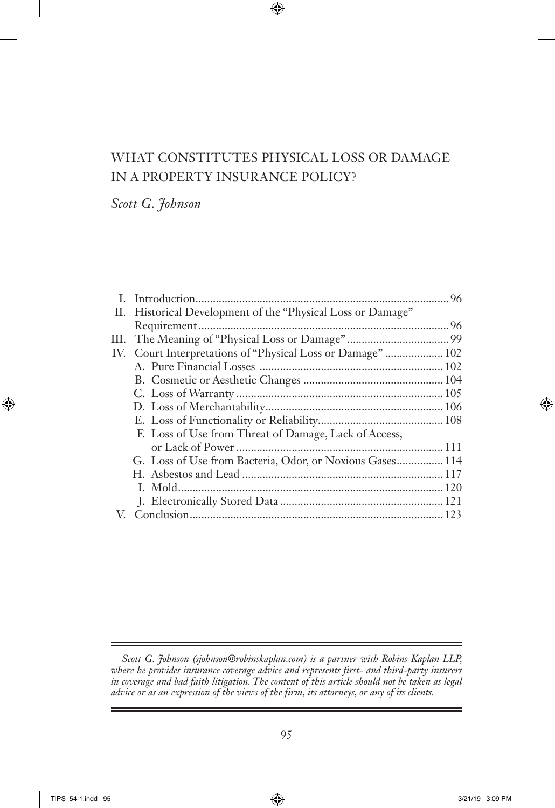# WHAT CONSTITUTES PHYSICAL LOSS OR DAMAGE IN A PROPERTY INSURANCE POLICY?

*Scott G. Johnson*

|  | II. Historical Development of the "Physical Loss or Damage" |  |
|--|-------------------------------------------------------------|--|
|  |                                                             |  |
|  |                                                             |  |
|  | IV. Court Interpretations of "Physical Loss or Damage"  102 |  |
|  |                                                             |  |
|  |                                                             |  |
|  |                                                             |  |
|  |                                                             |  |
|  |                                                             |  |
|  | F. Loss of Use from Threat of Damage, Lack of Access,       |  |
|  |                                                             |  |
|  | G. Loss of Use from Bacteria, Odor, or Noxious Gases 114    |  |
|  |                                                             |  |
|  |                                                             |  |
|  |                                                             |  |
|  |                                                             |  |
|  |                                                             |  |

*Scott G. Johnson (sjohnson@robinskaplan.com) is a partner with Robins Kaplan LLP, where he provides insurance coverage advice and represents first- and third-party insurers in coverage and bad faith litigation. The content of this article should not be taken as legal advice or as an expression of the views of the firm, its attorneys, or any of its clients.*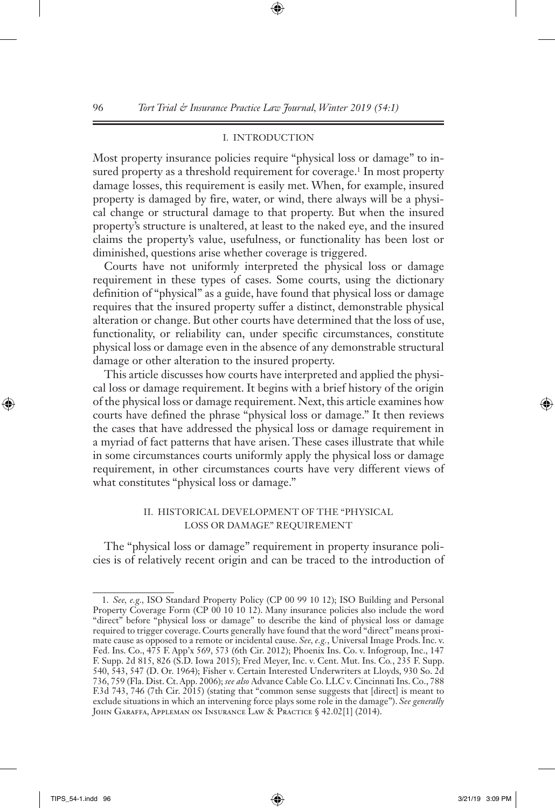## I. INTRODUCTION

Most property insurance policies require "physical loss or damage" to insured property as a threshold requirement for coverage.<sup>1</sup> In most property damage losses, this requirement is easily met. When, for example, insured property is damaged by fire, water, or wind, there always will be a physical change or structural damage to that property. But when the insured property's structure is unaltered, at least to the naked eye, and the insured claims the property's value, usefulness, or functionality has been lost or diminished, questions arise whether coverage is triggered.

Courts have not uniformly interpreted the physical loss or damage requirement in these types of cases. Some courts, using the dictionary definition of "physical" as a guide, have found that physical loss or damage requires that the insured property suffer a distinct, demonstrable physical alteration or change. But other courts have determined that the loss of use, functionality, or reliability can, under specific circumstances, constitute physical loss or damage even in the absence of any demonstrable structural damage or other alteration to the insured property.

This article discusses how courts have interpreted and applied the physical loss or damage requirement. It begins with a brief history of the origin of the physical loss or damage requirement. Next, this article examines how courts have defined the phrase "physical loss or damage." It then reviews the cases that have addressed the physical loss or damage requirement in a myriad of fact patterns that have arisen. These cases illustrate that while in some circumstances courts uniformly apply the physical loss or damage requirement, in other circumstances courts have very different views of what constitutes "physical loss or damage."

## II. HISTORICAL DEVELOPMENT OF THE "PHYSICAL LOSS OR DAMAGE" REQUIREMENT

The "physical loss or damage" requirement in property insurance policies is of relatively recent origin and can be traced to the introduction of

<sup>1.</sup> *See, e.g.,* ISO Standard Property Policy (CP 00 99 10 12); ISO Building and Personal Property Coverage Form (CP 00 10 10 12). Many insurance policies also include the word "direct" before "physical loss or damage" to describe the kind of physical loss or damage required to trigger coverage. Courts generally have found that the word "direct" means proximate cause as opposed to a remote or incidental cause. *See, e.g.*, Universal Image Prods. Inc. v. Fed. Ins. Co., 475 F. App'x 569, 573 (6th Cir. 2012); Phoenix Ins. Co. v. Infogroup, Inc., 147 F. Supp. 2d 815, 826 (S.D. Iowa 2015); Fred Meyer, Inc. v. Cent. Mut. Ins. Co*.*, 235 F. Supp. 540, 543, 547 (D. Or. 1964); Fisher v. Certain Interested Underwriters at Lloyds, 930 So. 2d 736, 759 (Fla. Dist. Ct. App. 2006); *see also* Advance Cable Co. LLC v. Cincinnati Ins. Co., 788 F.3d 743, 746 (7th Cir. 2015) (stating that "common sense suggests that [direct] is meant to exclude situations in which an intervening force plays some role in the damage"). *See generally*  JOHN GARAFFA, APPLEMAN ON INSURANCE LAW & PRACTICE § 42.02[1] (2014).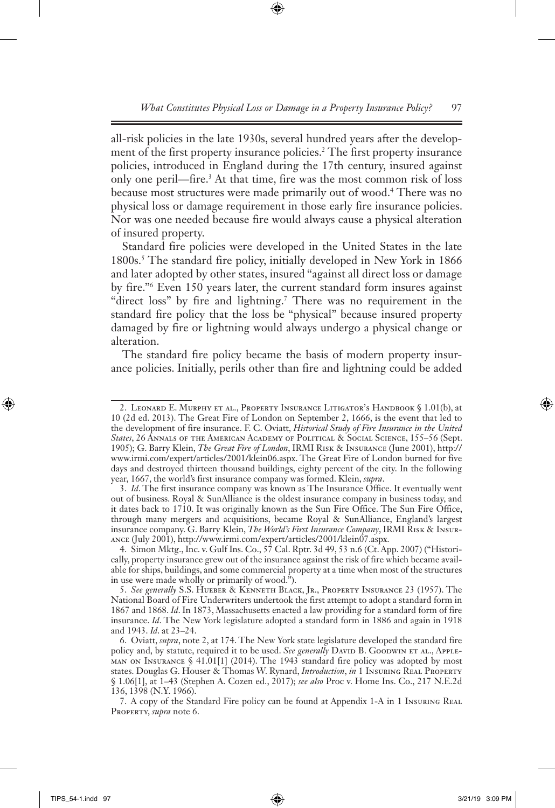all-risk policies in the late 1930s, several hundred years after the development of the first property insurance policies.<sup>2</sup> The first property insurance policies, introduced in England during the 17th century, insured against only one peril—fire.3 At that time, fire was the most common risk of loss because most structures were made primarily out of wood.4 There was no physical loss or damage requirement in those early fire insurance policies. Nor was one needed because fire would always cause a physical alteration of insured property.

Standard fire policies were developed in the United States in the late 1800s.<sup>5</sup> The standard fire policy, initially developed in New York in 1866 and later adopted by other states, insured "against all direct loss or damage by fire."6 Even 150 years later, the current standard form insures against "direct loss" by fire and lightning.7 There was no requirement in the standard fire policy that the loss be "physical" because insured property damaged by fire or lightning would always undergo a physical change or alteration.

The standard fire policy became the basis of modern property insurance policies. Initially, perils other than fire and lightning could be added

<sup>2.</sup> Leonard E. Murphy et al., Property Insurance Litigator's Handbook § 1.01(b), at 10 (2d ed. 2013). The Great Fire of London on September 2, 1666, is the event that led to the development of fire insurance. F. C. Oviatt, *Historical Study of Fire Insurance in the United States*, 26 Annals of the American Academy of Political & Social Science, 155–56 (Sept. 1905); G. Barry Klein, *The Great Fire of London*, IRMI Risk & Insurance (June 2001), http:// www.irmi.com/expert/articles/2001/klein06.aspx. The Great Fire of London burned for five days and destroyed thirteen thousand buildings, eighty percent of the city. In the following year, 1667, the world's first insurance company was formed. Klein, *supra*.

<sup>3.</sup> *Id*. The first insurance company was known as The Insurance Office. It eventually went out of business. Royal & SunAlliance is the oldest insurance company in business today, and it dates back to 1710. It was originally known as the Sun Fire Office. The Sun Fire Office, through many mergers and acquisitions, became Royal & SunAlliance, England's largest insurance company. G. Barry Klein, *The World's First Insurance Company*, IRMI Risk & Insurance (July 2001), http://www.irmi.com/expert/articles/2001/klein07.aspx.

<sup>4.</sup> Simon Mktg., Inc. v. Gulf Ins. Co., 57 Cal. Rptr. 3d 49, 53 n.6 (Ct. App. 2007) ("Historically, property insurance grew out of the insurance against the risk of fire which became available for ships, buildings, and some commercial property at a time when most of the structures in use were made wholly or primarily of wood.").

<sup>5.</sup> *See generally* S.S. Hueber & Kenneth Black, Jr., Property Insurance 23 (1957). The National Board of Fire Underwriters undertook the first attempt to adopt a standard form in 1867 and 1868. *Id*. In 1873, Massachusetts enacted a law providing for a standard form of fire insurance. *Id*. The New York legislature adopted a standard form in 1886 and again in 1918 and 1943. *Id*. at 23–24.

<sup>6.</sup> Oviatt, *supra*, note 2, at 174. The New York state legislature developed the standard fire policy and, by statute, required it to be used. See generally DAVID B. GOODWIN ET AL., APPLE-MAN ON INSURANCE  $\frac{\sqrt{5}}{2}$  41.01[1] (2014). The 1943 standard fire policy was adopted by most states. Douglas G. Houser & Thomas W. Rynard, *Introduction*, *in* 1 Insuring Real Property § 1.06[1], at 1–43 (Stephen A. Cozen ed., 2017); *see also* Proc v. Home Ins. Co., 217 N.E.2d 136, 1398 (N.Y. 1966).

<sup>7.</sup> A copy of the Standard Fire policy can be found at Appendix 1-A in 1 Insuring Real Property, *supra* note 6.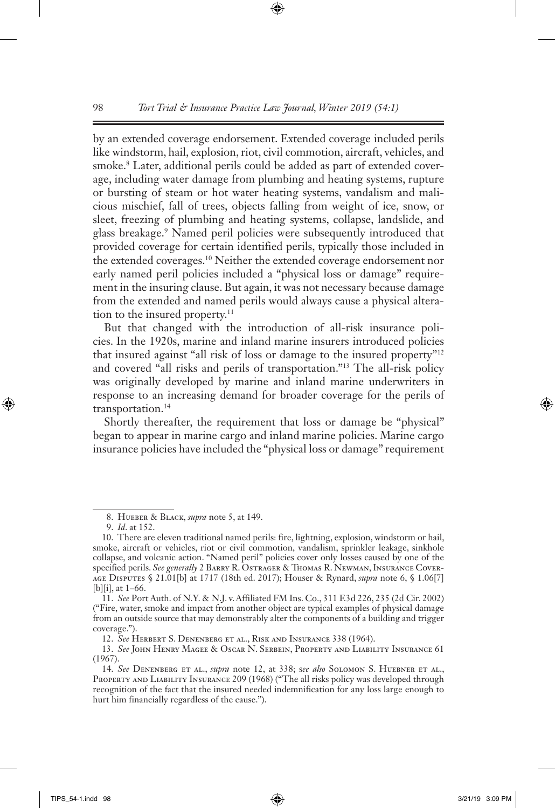by an extended coverage endorsement. Extended coverage included perils like windstorm, hail, explosion, riot, civil commotion, aircraft, vehicles, and smoke.8 Later, additional perils could be added as part of extended coverage, including water damage from plumbing and heating systems, rupture or bursting of steam or hot water heating systems, vandalism and malicious mischief, fall of trees, objects falling from weight of ice, snow, or sleet, freezing of plumbing and heating systems, collapse, landslide, and glass breakage.9 Named peril policies were subsequently introduced that provided coverage for certain identified perils, typically those included in the extended coverages.10 Neither the extended coverage endorsement nor early named peril policies included a "physical loss or damage" requirement in the insuring clause. But again, it was not necessary because damage from the extended and named perils would always cause a physical alteration to the insured property.<sup>11</sup>

But that changed with the introduction of all-risk insurance policies. In the 1920s, marine and inland marine insurers introduced policies that insured against "all risk of loss or damage to the insured property"12 and covered "all risks and perils of transportation."13 The all-risk policy was originally developed by marine and inland marine underwriters in response to an increasing demand for broader coverage for the perils of transportation.<sup>14</sup>

Shortly thereafter, the requirement that loss or damage be "physical" began to appear in marine cargo and inland marine policies. Marine cargo insurance policies have included the "physical loss or damage" requirement

<sup>8.</sup> Hueber & Black, *supra* note 5, at 149.

<sup>9.</sup> *Id*. at 152.

<sup>10.</sup> There are eleven traditional named perils: fire, lightning, explosion, windstorm or hail, smoke, aircraft or vehicles, riot or civil commotion, vandalism, sprinkler leakage, sinkhole collapse, and volcanic action. "Named peril" policies cover only losses caused by one of the specified perils. *See generally* 2 Barry R. Ostrager & Thomas R. Newman, Insurance Coverage Disputes § 21.01[b] at 1717 (18th ed. 2017); Houser & Rynard, *supra* note 6, § 1.06[7] [b][i], at 1–66.

<sup>11.</sup> *See* Port Auth. of N.Y. & N.J. v. Affiliated FM Ins. Co., 311 F.3d 226, 235 (2d Cir. 2002) ("Fire, water, smoke and impact from another object are typical examples of physical damage from an outside source that may demonstrably alter the components of a building and trigger coverage.").

<sup>12.</sup> *See* Herbert S. Denenberg et al., Risk and Insurance 338 (1964).

<sup>13.</sup> *See* John Henry Magee & Oscar N. Serbein, Property and Liability Insurance 61 (1967).

<sup>14.</sup> *See* Denenberg et al., *supra* note 12, at 338; s*ee also* Solomon S. Huebner et al., PROPERTY AND LIABILITY INSURANCE 209 (1968) ("The all risks policy was developed through recognition of the fact that the insured needed indemnification for any loss large enough to hurt him financially regardless of the cause.").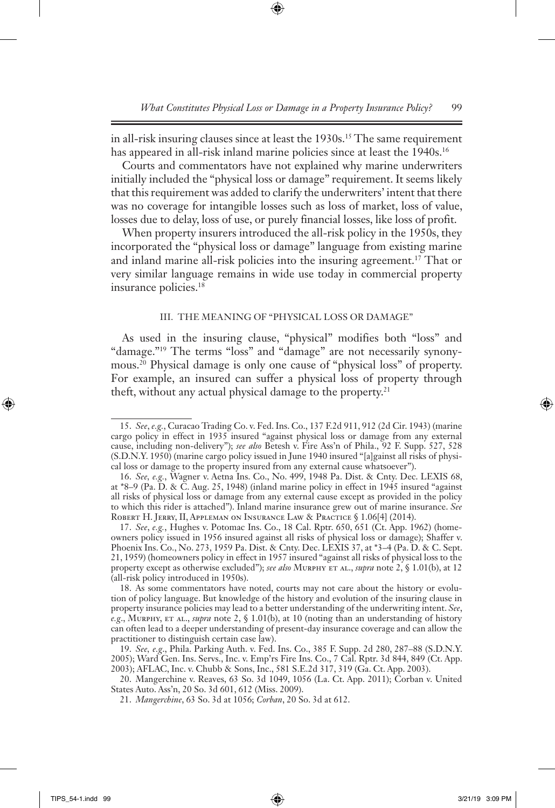in all-risk insuring clauses since at least the 1930s.15 The same requirement has appeared in all-risk inland marine policies since at least the 1940s.<sup>16</sup>

Courts and commentators have not explained why marine underwriters initially included the "physical loss or damage" requirement. It seems likely that this requirement was added to clarify the underwriters' intent that there was no coverage for intangible losses such as loss of market, loss of value, losses due to delay, loss of use, or purely financial losses, like loss of profit.

When property insurers introduced the all-risk policy in the 1950s, they incorporated the "physical loss or damage" language from existing marine and inland marine all-risk policies into the insuring agreement.17 That or very similar language remains in wide use today in commercial property insurance policies.18

#### III. THE MEANING OF "PHYSICAL LOSS OR DAMAGE"

As used in the insuring clause, "physical" modifies both "loss" and "damage."<sup>19</sup> The terms "loss" and "damage" are not necessarily synonymous.20 Physical damage is only one cause of "physical loss" of property. For example, an insured can suffer a physical loss of property through theft, without any actual physical damage to the property.<sup>21</sup>

<sup>15.</sup> *See*, *e.g.*, Curacao Trading Co. v. Fed. Ins. Co., 137 F.2d 911, 912 (2d Cir. 1943) (marine cargo policy in effect in 1935 insured "against physical loss or damage from any external cause, including non-delivery"); *see also* Betesh v. Fire Ass'n of Phila., 92 F. Supp. 527, 528 (S.D.N.Y. 1950) (marine cargo policy issued in June 1940 insured "[a]gainst all risks of physical loss or damage to the property insured from any external cause whatsoever").

<sup>16.</sup> *See, e.g.*, Wagner v. Aetna Ins. Co., No. 499, 1948 Pa. Dist. & Cnty. Dec. LEXIS 68, at \*8–9 (Pa. D. & C. Aug. 25, 1948) (inland marine policy in effect in 1945 insured "against all risks of physical loss or damage from any external cause except as provided in the policy to which this rider is attached"). Inland marine insurance grew out of marine insurance. *See*  ROBERT H. JERRY, II, APPLEMAN ON INSURANCE LAW & PRACTICE § 1.06<sup>[4]</sup> (2014).

<sup>17.</sup> *See*, *e.g.*, Hughes v. Potomac Ins. Co., 18 Cal. Rptr. 650, 651 (Ct. App. 1962) (homeowners policy issued in 1956 insured against all risks of physical loss or damage); Shaffer v. Phoenix Ins. Co., No. 273, 1959 Pa. Dist. & Cnty. Dec. LEXIS 37, at \*3–4 (Pa. D. & C. Sept. 21, 1959) (homeowners policy in effect in 1957 insured "against all risks of physical loss to the property except as otherwise excluded"); *see also* Murphy et al., *supra* note 2, § 1.01(b), at 12 (all-risk policy introduced in 1950s).

<sup>18.</sup> As some commentators have noted, courts may not care about the history or evolution of policy language. But knowledge of the history and evolution of the insuring clause in property insurance policies may lead to a better understanding of the underwriting intent. *See*, *e.g*., Murphy, et al., *supra* note 2, § 1.01(b), at 10 (noting than an understanding of history can often lead to a deeper understanding of present-day insurance coverage and can allow the practitioner to distinguish certain case law).

<sup>19.</sup> *See, e.g*., Phila. Parking Auth. v. Fed. Ins. Co., 385 F. Supp. 2d 280, 287–88 (S.D.N.Y. 2005); Ward Gen. Ins. Servs., Inc. v. Emp'rs Fire Ins. Co., 7 Cal. Rptr. 3d 844, 849 (Ct. App. 2003); AFLAC, Inc. v. Chubb & Sons, Inc., 581 S.E.2d 317, 319 (Ga. Ct. App. 2003).

<sup>20.</sup> Mangerchine v. Reaves, 63 So. 3d 1049, 1056 (La. Ct. App. 2011); Corban v. United States Auto. Ass'n, 20 So. 3d 601, 612 (Miss. 2009).

<sup>21.</sup> *Mangerchine*, 63 So. 3d at 1056; *Corban*, 20 So. 3d at 612.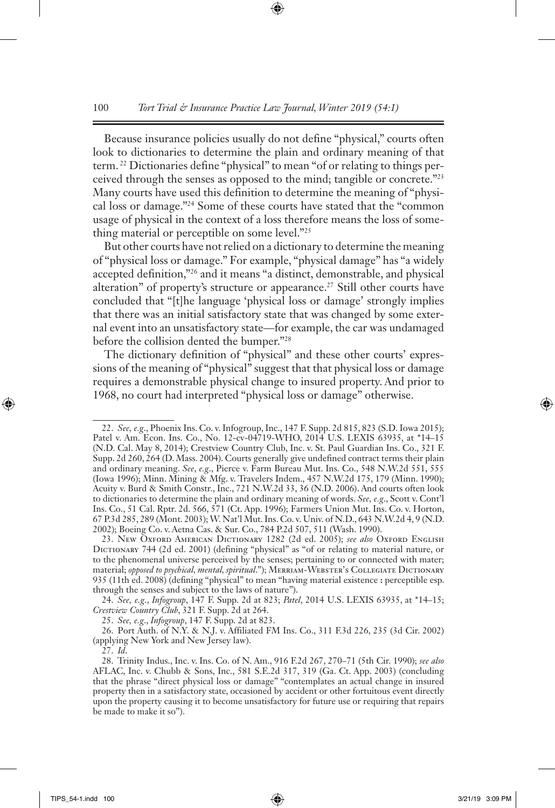Because insurance policies usually do not define "physical," courts often look to dictionaries to determine the plain and ordinary meaning of that term. 22 Dictionaries define "physical" to mean "of or relating to things perceived through the senses as opposed to the mind; tangible or concrete."23 Many courts have used this definition to determine the meaning of "physical loss or damage."24 Some of these courts have stated that the "common usage of physical in the context of a loss therefore means the loss of something material or perceptible on some level."25

But other courts have not relied on a dictionary to determine the meaning of "physical loss or damage." For example, "physical damage" has "a widely accepted definition,"26 and it means "a distinct, demonstrable, and physical alteration" of property's structure or appearance.<sup>27</sup> Still other courts have concluded that "[t]he language 'physical loss or damage' strongly implies that there was an initial satisfactory state that was changed by some external event into an unsatisfactory state—for example, the car was undamaged before the collision dented the bumper."28

The dictionary definition of "physical" and these other courts' expressions of the meaning of "physical" suggest that that physical loss or damage requires a demonstrable physical change to insured property. And prior to 1968, no court had interpreted "physical loss or damage" otherwise.

27. *Id*.

<sup>22.</sup> *See, e.g*., Phoenix Ins. Co. v. Infogroup, Inc., 147 F. Supp. 2d 815, 823 (S.D. Iowa 2015); Patel v. Am. Econ. Ins. Co., No. 12-cv-04719-WHO, 2014 U.S. LEXIS 63935, at \*14–15 (N.D. Cal. May 8, 2014); Crestview Country Club, Inc. v. St. Paul Guardian Ins. Co., 321 F. Supp. 2d 260, 264 (D. Mass. 2004). Courts generally give undefined contract terms their plain and ordinary meaning. *See*, *e.g*., Pierce v. Farm Bureau Mut. Ins. Co., 548 N.W.2d 551, 555 (Iowa 1996); Minn. Mining & Mfg. v. Travelers Indem., 457 N.W.2d 175, 179 (Minn. 1990); Acuity v. Burd & Smith Constr., Inc., 721 N.W.2d 33, 36 (N.D. 2006). And courts often look to dictionaries to determine the plain and ordinary meaning of words. *See, e.g*., Scott v. Cont'l Ins. Co., 51 Cal. Rptr. 2d. 566, 571 (Ct. App. 1996); Farmers Union Mut. Ins. Co. v. Horton, 67 P.3d 285, 289 (Mont. 2003); W. Nat'l Mut. Ins. Co. v. Univ. of N.D., 643 N.W.2d 4, 9 (N.D. 2002); Boeing Co. v. Aetna Cas. & Sur. Co., 784 P.2d 507, 511 (Wash. 1990).

<sup>23.</sup> New Oxford American Dictionary 1282 (2d ed. 2005); *see also* Oxford English DICTIONARY 744 (2d ed. 2001) (defining "physical" as "of or relating to material nature, or to the phenomenal universe perceived by the senses; pertaining to or connected with mater; material; *opposed to psychical, mental, spiritual*."); MERRIAM-WEBSTER's COLLEGIATE DICTIONARY 935 (11th ed. 2008) (defining "physical" to mean "having material existence **:** perceptible esp. through the senses and subject to the laws of nature").

<sup>24.</sup> *See, e.g*., *Infogroup*, 147 F. Supp. 2d at 823; *Patel*, 2014 U.S. LEXIS 63935, at \*14–15; *Crestview Country Club*, 321 F. Supp. 2d at 264.

<sup>25.</sup> *See, e.g*., *Infogroup*, 147 F. Supp. 2d at 823.

<sup>26.</sup> Port Auth. of N.Y. & N.J. v. Affiliated FM Ins. Co., 311 F.3d 226, 235 (3d Cir. 2002) (applying New York and New Jersey law).

<sup>28.</sup> Trinity Indus., Inc. v. Ins. Co. of N. Am., 916 F.2d 267, 270–71 (5th Cir. 1990); *see also*  AFLAC, Inc. v. Chubb & Sons, Inc., 581 S.E.2d 317, 319 (Ga. Ct. App. 2003) (concluding that the phrase "direct physical loss or damage" "contemplates an actual change in insured property then in a satisfactory state, occasioned by accident or other fortuitous event directly upon the property causing it to become unsatisfactory for future use or requiring that repairs be made to make it so").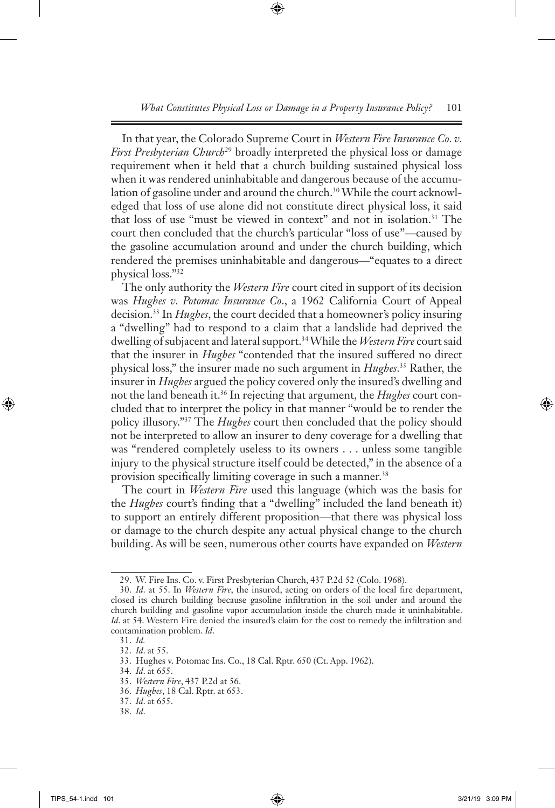In that year, the Colorado Supreme Court in *Western Fire Insurance Co. v.*  First Presbyterian Church<sup>29</sup> broadly interpreted the physical loss or damage requirement when it held that a church building sustained physical loss when it was rendered uninhabitable and dangerous because of the accumulation of gasoline under and around the church.<sup>30</sup> While the court acknowledged that loss of use alone did not constitute direct physical loss, it said that loss of use "must be viewed in context" and not in isolation.31 The court then concluded that the church's particular "loss of use"—caused by the gasoline accumulation around and under the church building, which rendered the premises uninhabitable and dangerous—"equates to a direct physical loss."32

The only authority the *Western Fire* court cited in support of its decision was *Hughes v. Potomac Insurance Co*., a 1962 California Court of Appeal decision.33 In *Hughes*, the court decided that a homeowner's policy insuring a "dwelling" had to respond to a claim that a landslide had deprived the dwelling of subjacent and lateral support.34 While the *Western Fire* court said that the insurer in *Hughes* "contended that the insured suffered no direct physical loss," the insurer made no such argument in *Hughes*. 35 Rather, the insurer in *Hughes* argued the policy covered only the insured's dwelling and not the land beneath it.36 In rejecting that argument, the *Hughes* court concluded that to interpret the policy in that manner "would be to render the policy illusory."37 The *Hughes* court then concluded that the policy should not be interpreted to allow an insurer to deny coverage for a dwelling that was "rendered completely useless to its owners . . . unless some tangible injury to the physical structure itself could be detected," in the absence of a provision specifically limiting coverage in such a manner.<sup>38</sup>

The court in *Western Fire* used this language (which was the basis for the *Hughes* court's finding that a "dwelling" included the land beneath it) to support an entirely different proposition—that there was physical loss or damage to the church despite any actual physical change to the church building. As will be seen, numerous other courts have expanded on *Western* 

35. *Western Fire*, 437 P.2d at 56.

<sup>29.</sup> W. Fire Ins. Co. v. First Presbyterian Church, 437 P.2d 52 (Colo. 1968).

<sup>30.</sup> *Id*. at 55. In *Western Fire*, the insured, acting on orders of the local fire department, closed its church building because gasoline infiltration in the soil under and around the church building and gasoline vapor accumulation inside the church made it uninhabitable. *Id*. at 54. Western Fire denied the insured's claim for the cost to remedy the infiltration and contamination problem. *Id*.

<sup>31.</sup> *Id.* 

<sup>32.</sup> *Id*. at 55.

<sup>33.</sup> Hughes v. Potomac Ins. Co., 18 Cal. Rptr. 650 (Ct. App. 1962).

<sup>34.</sup> *Id*. at 655.

<sup>36.</sup> *Hughes*, 18 Cal. Rptr. at 653.

<sup>37.</sup> *Id*. at 655.

<sup>38.</sup> *Id*.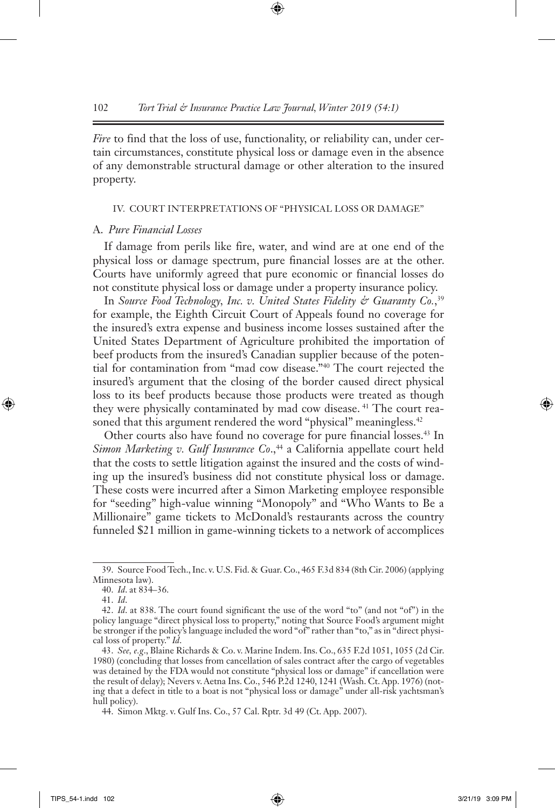*Fire* to find that the loss of use, functionality, or reliability can, under certain circumstances, constitute physical loss or damage even in the absence of any demonstrable structural damage or other alteration to the insured property.

#### IV. COURT INTERPRETATIONS OF "PHYSICAL LOSS OR DAMAGE"

#### A. *Pure Financial Losses*

If damage from perils like fire, water, and wind are at one end of the physical loss or damage spectrum, pure financial losses are at the other. Courts have uniformly agreed that pure economic or financial losses do not constitute physical loss or damage under a property insurance policy.

In *Source Food Technology, Inc. v. United States Fidelity & Guaranty Co.*, 39 for example, the Eighth Circuit Court of Appeals found no coverage for the insured's extra expense and business income losses sustained after the United States Department of Agriculture prohibited the importation of beef products from the insured's Canadian supplier because of the potential for contamination from "mad cow disease."40 The court rejected the insured's argument that the closing of the border caused direct physical loss to its beef products because those products were treated as though they were physically contaminated by mad cow disease. 41 The court reasoned that this argument rendered the word "physical" meaningless.<sup>42</sup>

Other courts also have found no coverage for pure financial losses.43 In *Simon Marketing v. Gulf Insurance Co.*,<sup>44</sup> a California appellate court held that the costs to settle litigation against the insured and the costs of winding up the insured's business did not constitute physical loss or damage. These costs were incurred after a Simon Marketing employee responsible for "seeding" high-value winning "Monopoly" and "Who Wants to Be a Millionaire" game tickets to McDonald's restaurants across the country funneled \$21 million in game-winning tickets to a network of accomplices

<sup>39.</sup> Source Food Tech., Inc. v. U.S. Fid. & Guar. Co., 465 F.3d 834 (8th Cir. 2006) (applying Minnesota law).

<sup>40.</sup> *Id*. at 834–36.

<sup>41.</sup> *Id*.

<sup>42.</sup> *Id*. at 838. The court found significant the use of the word "to" (and not "of") in the policy language "direct physical loss to property," noting that Source Food's argument might be stronger if the policy's language included the word "of" rather than "to," as in "direct physical loss of property." *Id*.

<sup>43.</sup> *See, e.g*., Blaine Richards & Co. v. Marine Indem. Ins. Co., 635 F.2d 1051, 1055 (2d Cir. 1980) (concluding that losses from cancellation of sales contract after the cargo of vegetables was detained by the FDA would not constitute "physical loss or damage" if cancellation were the result of delay); Nevers v. Aetna Ins. Co., 546 P.2d 1240, 1241 (Wash. Ct. App. 1976) (noting that a defect in title to a boat is not "physical loss or damage" under all-risk yachtsman's hull policy).

<sup>44.</sup> Simon Mktg. v. Gulf Ins. Co., 57 Cal. Rptr. 3d 49 (Ct. App. 2007).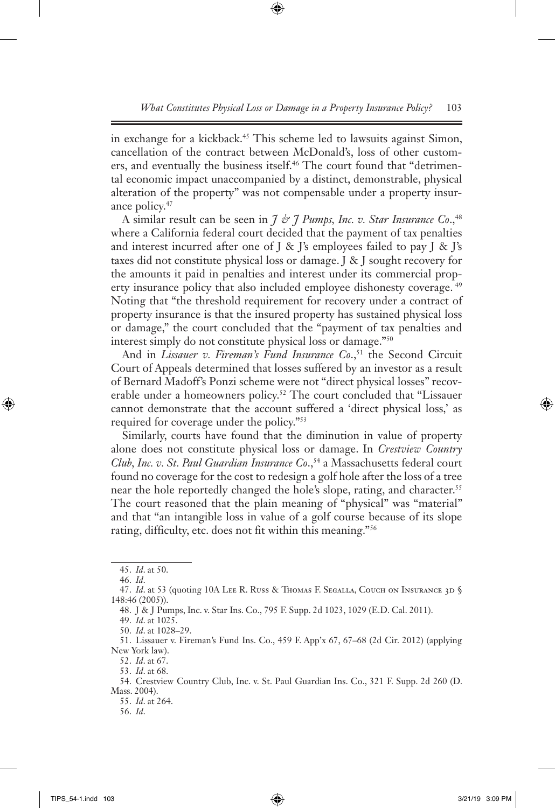in exchange for a kickback.45 This scheme led to lawsuits against Simon, cancellation of the contract between McDonald's, loss of other customers, and eventually the business itself.<sup>46</sup> The court found that "detrimental economic impact unaccompanied by a distinct, demonstrable, physical alteration of the property" was not compensable under a property insurance policy.47

A similar result can be seen in *J & J Pumps, Inc. v. Star Insurance Co*.,48 where a California federal court decided that the payment of tax penalties and interest incurred after one of  $J \& J's$  employees failed to pay  $J \& J's$ taxes did not constitute physical loss or damage. J & J sought recovery for the amounts it paid in penalties and interest under its commercial property insurance policy that also included employee dishonesty coverage.<sup>49</sup> Noting that "the threshold requirement for recovery under a contract of property insurance is that the insured property has sustained physical loss or damage," the court concluded that the "payment of tax penalties and interest simply do not constitute physical loss or damage."50

And in *Lissauer v. Fireman's Fund Insurance Co.*,<sup>51</sup> the Second Circuit Court of Appeals determined that losses suffered by an investor as a result of Bernard Madoff's Ponzi scheme were not "direct physical losses" recoverable under a homeowners policy.<sup>52</sup> The court concluded that "Lissauer cannot demonstrate that the account suffered a 'direct physical loss,' as required for coverage under the policy."53

Similarly, courts have found that the diminution in value of property alone does not constitute physical loss or damage. In *Crestview Country Club, Inc. v. St. Paul Guardian Insurance Co.*,<sup>54</sup> a Massachusetts federal court found no coverage for the cost to redesign a golf hole after the loss of a tree near the hole reportedly changed the hole's slope, rating, and character.<sup>55</sup> The court reasoned that the plain meaning of "physical" was "material" and that "an intangible loss in value of a golf course because of its slope rating, difficulty, etc. does not fit within this meaning."56

- 54. Crestview Country Club, Inc. v. St. Paul Guardian Ins. Co., 321 F. Supp. 2d 260 (D. Mass. 2004).
	- 55. *Id*. at 264.
	- 56. *Id*.

<sup>45.</sup> *Id*. at 50.

<sup>46.</sup> *Id*.

<sup>47.</sup> *Id.* at 53 (quoting 10A LEE R. Russ & Thomas F. Segalla, Couch on Insurance 3D § 148:46 (2005)).

<sup>48.</sup> J & J Pumps, Inc. v. Star Ins. Co., 795 F. Supp. 2d 1023, 1029 (E.D. Cal. 2011).

<sup>49.</sup> *Id*. at 1025.

<sup>50.</sup> *Id*. at 1028–29.

<sup>51.</sup> Lissauer v. Fireman's Fund Ins. Co., 459 F. App'x 67, 67–68 (2d Cir. 2012) (applying New York law).

<sup>52.</sup> *Id*. at 67.

<sup>53.</sup> *Id*. at 68.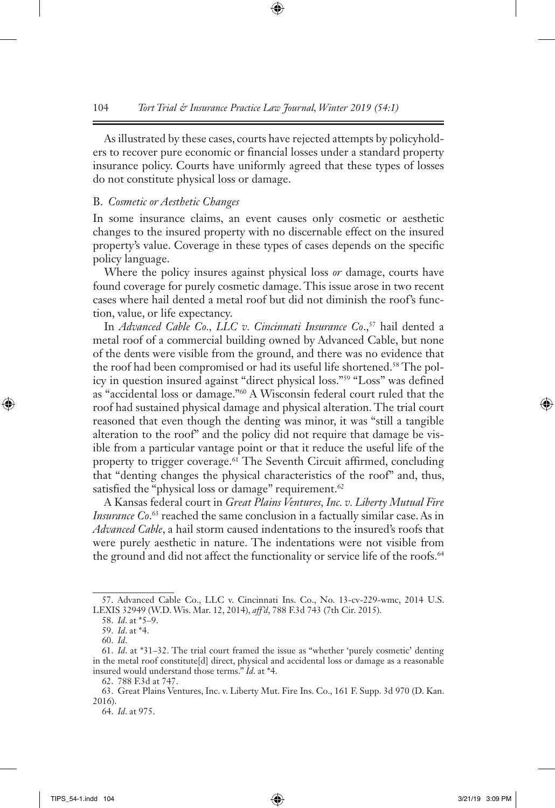As illustrated by these cases, courts have rejected attempts by policyholders to recover pure economic or financial losses under a standard property insurance policy. Courts have uniformly agreed that these types of losses do not constitute physical loss or damage.

## B. *Cosmetic or Aesthetic Changes*

In some insurance claims, an event causes only cosmetic or aesthetic changes to the insured property with no discernable effect on the insured property's value. Coverage in these types of cases depends on the specific policy language.

Where the policy insures against physical loss *or* damage, courts have found coverage for purely cosmetic damage. This issue arose in two recent cases where hail dented a metal roof but did not diminish the roof's function, value, or life expectancy.

In *Advanced Cable Co., LLC v. Cincinnati Insurance Co.*,<sup>57</sup> hail dented a metal roof of a commercial building owned by Advanced Cable, but none of the dents were visible from the ground, and there was no evidence that the roof had been compromised or had its useful life shortened.58 The policy in question insured against "direct physical loss."59 "Loss" was defined as "accidental loss or damage."60 A Wisconsin federal court ruled that the roof had sustained physical damage and physical alteration. The trial court reasoned that even though the denting was minor, it was "still a tangible alteration to the roof" and the policy did not require that damage be visible from a particular vantage point or that it reduce the useful life of the property to trigger coverage.<sup>61</sup> The Seventh Circuit affirmed, concluding that "denting changes the physical characteristics of the roof" and, thus, satisfied the "physical loss or damage" requirement.<sup>62</sup>

A Kansas federal court in *Great Plains Ventures, Inc. v. Liberty Mutual Fire Insurance Co.*<sup>63</sup> reached the same conclusion in a factually similar case. As in *Advanced Cable*, a hail storm caused indentations to the insured's roofs that were purely aesthetic in nature. The indentations were not visible from the ground and did not affect the functionality or service life of the roofs.<sup>64</sup>

<sup>57.</sup> Advanced Cable Co., LLC v. Cincinnati Ins. Co., No. 13-cv-229-wmc, 2014 U.S. LEXIS 32949 (W.D. Wis. Mar. 12, 2014), *aff'd*, 788 F.3d 743 (7th Cir. 2015).

<sup>58.</sup> *Id*. at \*5–9.

<sup>59.</sup> *Id*. at \*4.

<sup>60.</sup> *Id*.

<sup>61.</sup> *Id*. at \*31–32. The trial court framed the issue as "whether 'purely cosmetic' denting in the metal roof constitute[d] direct, physical and accidental loss or damage as a reasonable insured would understand those terms." *Id*. at \*4.

<sup>62.</sup> 788 F.3d at 747.

<sup>63.</sup> Great Plains Ventures, Inc. v. Liberty Mut. Fire Ins. Co., 161 F. Supp. 3d 970 (D. Kan. 2016).

<sup>64.</sup> *Id*. at 975.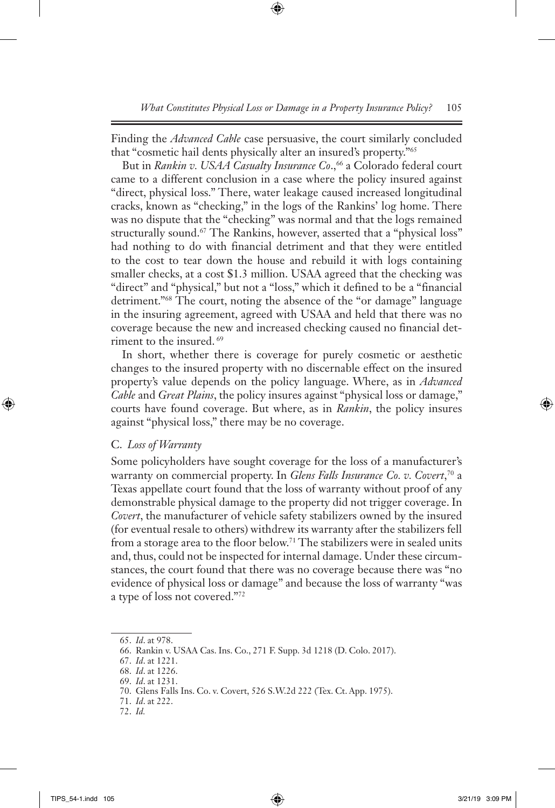Finding the *Advanced Cable* case persuasive, the court similarly concluded that "cosmetic hail dents physically alter an insured's property."65

But in *Rankin v. USAA Casualty Insurance Co.*,<sup>66</sup> a Colorado federal court came to a different conclusion in a case where the policy insured against "direct, physical loss." There, water leakage caused increased longitudinal cracks, known as "checking," in the logs of the Rankins' log home. There was no dispute that the "checking" was normal and that the logs remained structurally sound.<sup>67</sup> The Rankins, however, asserted that a "physical loss" had nothing to do with financial detriment and that they were entitled to the cost to tear down the house and rebuild it with logs containing smaller checks, at a cost \$1.3 million. USAA agreed that the checking was "direct" and "physical," but not a "loss," which it defined to be a "financial detriment."68 The court, noting the absence of the "or damage" language in the insuring agreement, agreed with USAA and held that there was no coverage because the new and increased checking caused no financial detriment to the insured. 69

In short, whether there is coverage for purely cosmetic or aesthetic changes to the insured property with no discernable effect on the insured property's value depends on the policy language. Where, as in *Advanced Cable* and *Great Plains*, the policy insures against "physical loss or damage," courts have found coverage. But where, as in *Rankin*, the policy insures against "physical loss," there may be no coverage.

## C. *Loss of Warranty*

Some policyholders have sought coverage for the loss of a manufacturer's warranty on commercial property. In *Glens Falls Insurance Co. v. Covert*, 70 a Texas appellate court found that the loss of warranty without proof of any demonstrable physical damage to the property did not trigger coverage. In *Covert*, the manufacturer of vehicle safety stabilizers owned by the insured (for eventual resale to others) withdrew its warranty after the stabilizers fell from a storage area to the floor below.<sup>71</sup> The stabilizers were in sealed units and, thus, could not be inspected for internal damage. Under these circumstances, the court found that there was no coverage because there was "no evidence of physical loss or damage" and because the loss of warranty "was a type of loss not covered."72

<sup>65.</sup> *Id*. at 978.

<sup>66.</sup> Rankin v. USAA Cas. Ins. Co., 271 F. Supp. 3d 1218 (D. Colo. 2017).

<sup>67.</sup> *Id*. at 1221.

<sup>68.</sup> *Id*. at 1226.

<sup>69.</sup> *Id*. at 1231.

<sup>70.</sup> Glens Falls Ins. Co. v. Covert, 526 S.W.2d 222 (Tex. Ct. App. 1975).

<sup>71.</sup> *Id*. at 222.

<sup>72.</sup> *Id.*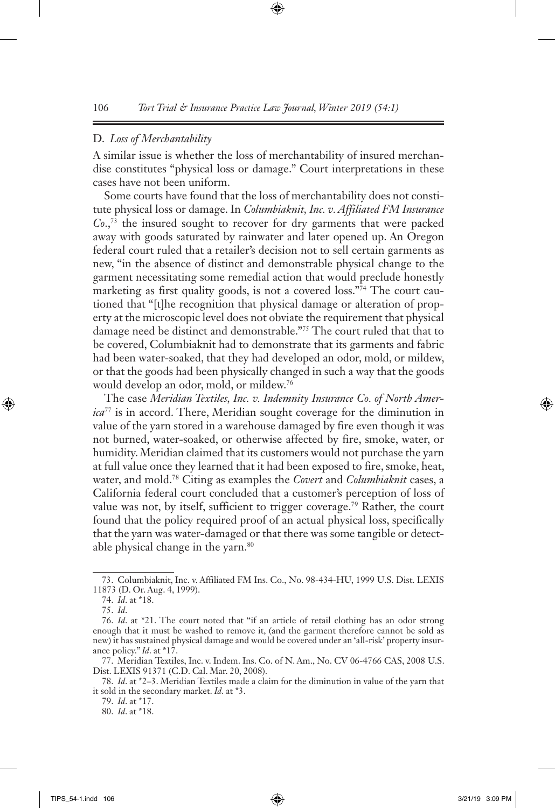#### D. *Loss of Merchantability*

A similar issue is whether the loss of merchantability of insured merchandise constitutes "physical loss or damage." Court interpretations in these cases have not been uniform.

Some courts have found that the loss of merchantability does not constitute physical loss or damage. In *Columbiaknit, Inc. v. Affiliated FM Insurance Co*.,73 the insured sought to recover for dry garments that were packed away with goods saturated by rainwater and later opened up. An Oregon federal court ruled that a retailer's decision not to sell certain garments as new, "in the absence of distinct and demonstrable physical change to the garment necessitating some remedial action that would preclude honestly marketing as first quality goods, is not a covered loss."74 The court cautioned that "[t]he recognition that physical damage or alteration of property at the microscopic level does not obviate the requirement that physical damage need be distinct and demonstrable."75 The court ruled that that to be covered, Columbiaknit had to demonstrate that its garments and fabric had been water-soaked, that they had developed an odor, mold, or mildew, or that the goods had been physically changed in such a way that the goods would develop an odor, mold, or mildew.76

The case *Meridian Textiles, Inc. v. Indemnity Insurance Co. of North America*77 is in accord. There, Meridian sought coverage for the diminution in value of the yarn stored in a warehouse damaged by fire even though it was not burned, water-soaked, or otherwise affected by fire, smoke, water, or humidity. Meridian claimed that its customers would not purchase the yarn at full value once they learned that it had been exposed to fire, smoke, heat, water, and mold.78 Citing as examples the *Covert* and *Columbiaknit* cases, a California federal court concluded that a customer's perception of loss of value was not, by itself, sufficient to trigger coverage.<sup>79</sup> Rather, the court found that the policy required proof of an actual physical loss, specifically that the yarn was water-damaged or that there was some tangible or detectable physical change in the yarn.<sup>80</sup>

79. *Id*. at \*17.

80. *Id*. at \*18.

<sup>73.</sup> Columbiaknit, Inc. v. Affiliated FM Ins. Co., No. 98-434-HU, 1999 U.S. Dist. LEXIS 11873 (D. Or. Aug. 4, 1999).

<sup>74.</sup> *Id*. at \*18.

<sup>75.</sup> *Id*.

<sup>76.</sup> *Id*. at \*21. The court noted that "if an article of retail clothing has an odor strong enough that it must be washed to remove it, (and the garment therefore cannot be sold as new) it has sustained physical damage and would be covered under an 'all-risk' property insurance policy." *Id*. at \*17.

<sup>77.</sup> Meridian Textiles, Inc. v. Indem. Ins. Co. of N. Am., No. CV 06-4766 CAS, 2008 U.S. Dist. LEXIS 91371 (C.D. Cal. Mar. 20, 2008).

<sup>78.</sup> *Id*. at \*2–3. Meridian Textiles made a claim for the diminution in value of the yarn that it sold in the secondary market. *Id*. at \*3.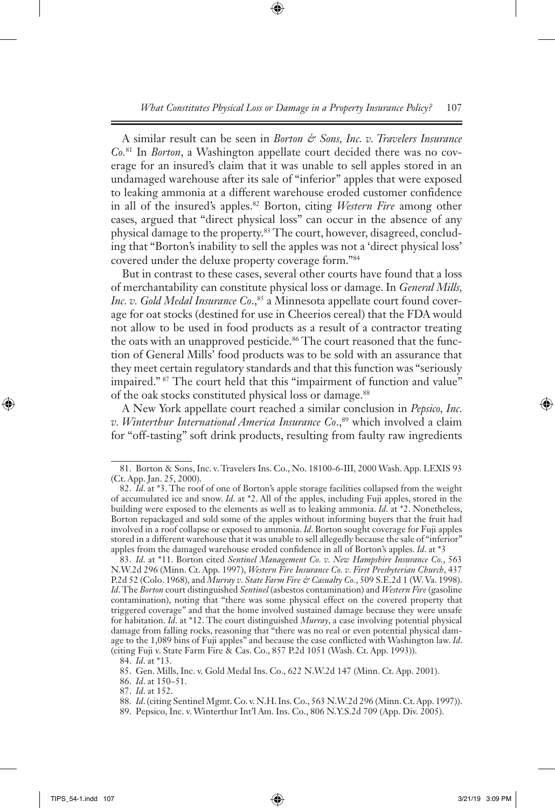A similar result can be seen in *Borton & Sons, Inc. v. Travelers Insurance Co.*81 In *Borton*, a Washington appellate court decided there was no coverage for an insured's claim that it was unable to sell apples stored in an undamaged warehouse after its sale of "inferior" apples that were exposed to leaking ammonia at a different warehouse eroded customer confidence in all of the insured's apples.82 Borton, citing *Western Fire* among other cases, argued that "direct physical loss" can occur in the absence of any physical damage to the property.83 The court, however, disagreed, concluding that "Borton's inability to sell the apples was not a 'direct physical loss' covered under the deluxe property coverage form."84

But in contrast to these cases, several other courts have found that a loss of merchantability can constitute physical loss or damage. In *General Mills, Inc. v. Gold Medal Insurance Co.*,<sup>85</sup> a Minnesota appellate court found coverage for oat stocks (destined for use in Cheerios cereal) that the FDA would not allow to be used in food products as a result of a contractor treating the oats with an unapproved pesticide.<sup>86</sup> The court reasoned that the function of General Mills' food products was to be sold with an assurance that they meet certain regulatory standards and that this function was "seriously impaired." 87 The court held that this "impairment of function and value" of the oak stocks constituted physical loss or damage.<sup>88</sup>

A New York appellate court reached a similar conclusion in *Pepsico, Inc. v. Winterthur International America Insurance Co.*,<sup>89</sup> which involved a claim for "off-tasting" soft drink products, resulting from faulty raw ingredients

89. Pepsico, Inc. v. Winterthur Int'l Am. Ins. Co., 806 N.Y.S.2d 709 (App. Div. 2005).

<sup>81.</sup> Borton & Sons, Inc. v. Travelers Ins. Co., No. 18100-6-III, 2000 Wash. App. LEXIS 93 (Ct. App. Jan. 25, 2000).

<sup>82.</sup> *Id*. at \*3. The roof of one of Borton's apple storage facilities collapsed from the weight of accumulated ice and snow. *Id*. at \*2. All of the apples, including Fuji apples, stored in the building were exposed to the elements as well as to leaking ammonia. *Id*. at \*2. Nonetheless, Borton repackaged and sold some of the apples without informing buyers that the fruit had involved in a roof collapse or exposed to ammonia. *Id*. Borton sought coverage for Fuji apples stored in a different warehouse that it was unable to sell allegedly because the sale of "inferior" apples from the damaged warehouse eroded confidence in all of Borton's apples. *Id*. at \*3

<sup>83.</sup> *Id*. at \*11. Borton cited *Sentinel Management Co. v. New Hampshire Insurance Co.*, 563 N.W.2d 296 (Minn. Ct. App. 1997), *Western Fire Insurance Co. v. First Presbyterian Church*, 437 P.2d 52 (Colo. 1968), and *Murray v. State Farm Fire & Casualty Co.*, 509 S.E.2d 1 (W. Va. 1998). *Id*. The *Borton* court distinguished *Sentinel* (asbestos contamination) and *Western Fire* (gasoline contamination), noting that "there was some physical effect on the covered property that triggered coverage" and that the home involved sustained damage because they were unsafe for habitation. *Id*. at \*12. The court distinguished *Murray*, a case involving potential physical damage from falling rocks, reasoning that "there was no real or even potential physical damage to the 1,089 bins of Fuji apples" and because the case conflicted with Washington law. *Id*. (citing Fuji v. State Farm Fire & Cas. Co., 857 P.2d 1051 (Wash. Ct. App. 1993)).

<sup>84.</sup> *Id*. at \*13.

<sup>85.</sup> Gen. Mills, Inc. v. Gold Medal Ins. Co., 622 N.W.2d 147 (Minn. Ct. App. 2001).

<sup>86.</sup> *Id*. at 150–51.

<sup>87.</sup> *Id*. at 152.

<sup>88.</sup> *Id*. (citing Sentinel Mgmt. Co. v. N.H. Ins. Co., 563 N.W.2d 296 (Minn. Ct. App. 1997)).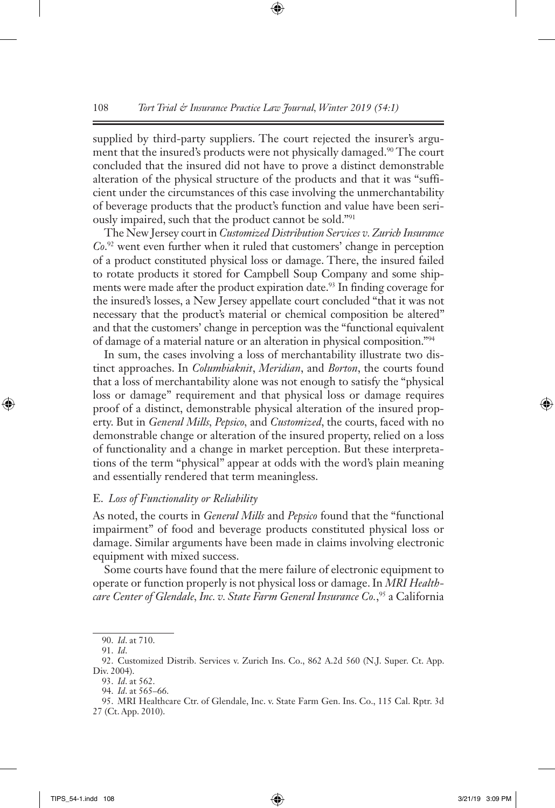supplied by third-party suppliers. The court rejected the insurer's argument that the insured's products were not physically damaged.<sup>90</sup> The court concluded that the insured did not have to prove a distinct demonstrable alteration of the physical structure of the products and that it was "sufficient under the circumstances of this case involving the unmerchantability of beverage products that the product's function and value have been seriously impaired, such that the product cannot be sold."91

The New Jersey court in *Customized Distribution Services v. Zurich Insurance Co*. 92 went even further when it ruled that customers' change in perception of a product constituted physical loss or damage. There, the insured failed to rotate products it stored for Campbell Soup Company and some shipments were made after the product expiration date.<sup>93</sup> In finding coverage for the insured's losses, a New Jersey appellate court concluded "that it was not necessary that the product's material or chemical composition be altered" and that the customers' change in perception was the "functional equivalent of damage of a material nature or an alteration in physical composition."94

In sum, the cases involving a loss of merchantability illustrate two distinct approaches. In *Columbiaknit*, *Meridian*, and *Borton*, the courts found that a loss of merchantability alone was not enough to satisfy the "physical loss or damage" requirement and that physical loss or damage requires proof of a distinct, demonstrable physical alteration of the insured property. But in *General Mills, Pepsico,* and *Customized*, the courts, faced with no demonstrable change or alteration of the insured property, relied on a loss of functionality and a change in market perception. But these interpretations of the term "physical" appear at odds with the word's plain meaning and essentially rendered that term meaningless.

## E. *Loss of Functionality or Reliability*

As noted, the courts in *General Mills* and *Pepsico* found that the "functional impairment" of food and beverage products constituted physical loss or damage. Similar arguments have been made in claims involving electronic equipment with mixed success.

Some courts have found that the mere failure of electronic equipment to operate or function properly is not physical loss or damage. In *MRI Healthcare Center of Glendale, Inc. v. State Farm General Insurance Co.*, 95 a California

<sup>90.</sup> *Id*. at 710.

<sup>91.</sup> *Id*.

<sup>92.</sup> Customized Distrib. Services v. Zurich Ins. Co., 862 A.2d 560 (N.J. Super. Ct. App. Div. 2004).

<sup>93.</sup> *Id*. at 562.

<sup>94.</sup> *Id*. at 565–66.

<sup>95.</sup> MRI Healthcare Ctr. of Glendale, Inc. v. State Farm Gen. Ins. Co., 115 Cal. Rptr. 3d 27 (Ct. App. 2010).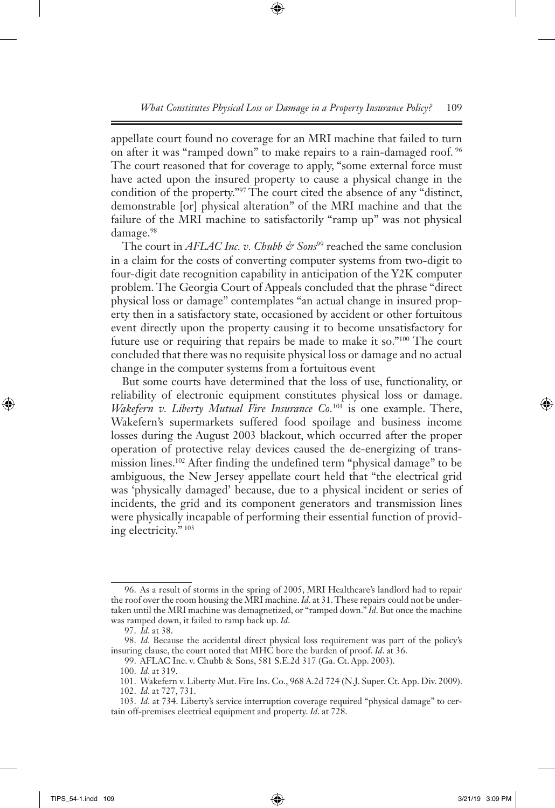appellate court found no coverage for an MRI machine that failed to turn on after it was "ramped down" to make repairs to a rain-damaged roof. 96 The court reasoned that for coverage to apply, "some external force must have acted upon the insured property to cause a physical change in the condition of the property."97 The court cited the absence of any "distinct, demonstrable [or] physical alteration" of the MRI machine and that the failure of the MRI machine to satisfactorily "ramp up" was not physical damage.<sup>98</sup>

The court in *AFLAC Inc. v. Chubb & Sons*<sup>99</sup> reached the same conclusion in a claim for the costs of converting computer systems from two-digit to four-digit date recognition capability in anticipation of the Y2K computer problem. The Georgia Court of Appeals concluded that the phrase "direct physical loss or damage" contemplates "an actual change in insured property then in a satisfactory state, occasioned by accident or other fortuitous event directly upon the property causing it to become unsatisfactory for future use or requiring that repairs be made to make it so."100 The court concluded that there was no requisite physical loss or damage and no actual change in the computer systems from a fortuitous event

But some courts have determined that the loss of use, functionality, or reliability of electronic equipment constitutes physical loss or damage. *Wakefern v. Liberty Mutual Fire Insurance Co.*101 is one example. There, Wakefern's supermarkets suffered food spoilage and business income losses during the August 2003 blackout, which occurred after the proper operation of protective relay devices caused the de-energizing of transmission lines.<sup>102</sup> After finding the undefined term "physical damage" to be ambiguous, the New Jersey appellate court held that "the electrical grid was 'physically damaged' because, due to a physical incident or series of incidents, the grid and its component generators and transmission lines were physically incapable of performing their essential function of providing electricity." 103

<sup>96.</sup> As a result of storms in the spring of 2005, MRI Healthcare's landlord had to repair the roof over the room housing the MRI machine. *Id*. at 31. These repairs could not be undertaken until the MRI machine was demagnetized, or "ramped down." *Id*. But once the machine was ramped down, it failed to ramp back up. *Id*.

<sup>97.</sup> *Id*. at 38.

<sup>98.</sup> *Id*. Because the accidental direct physical loss requirement was part of the policy's insuring clause, the court noted that MHC bore the burden of proof. *Id*. at 36.

<sup>99.</sup> AFLAC Inc. v. Chubb & Sons, 581 S.E.2d 317 (Ga. Ct. App. 2003).

<sup>100.</sup> *Id*. at 319.

<sup>101.</sup> Wakefern v. Liberty Mut. Fire Ins. Co., 968 A.2d 724 (N.J. Super. Ct. App. Div. 2009).

<sup>102.</sup> *Id*. at 727, 731.

<sup>103.</sup> *Id*. at 734. Liberty's service interruption coverage required "physical damage" to certain off-premises electrical equipment and property. *Id*. at 728.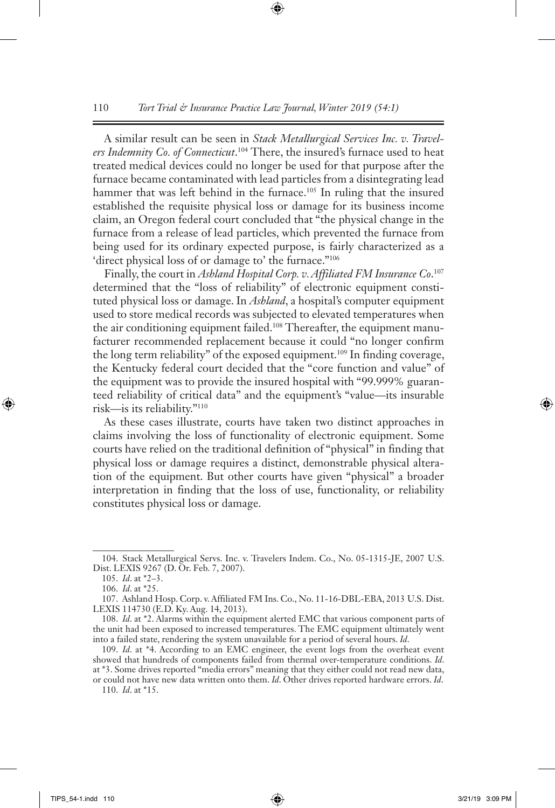A similar result can be seen in *Stack Metallurgical Services Inc. v. Travelers Indemnity Co. of Connecticut*. 104 There, the insured's furnace used to heat treated medical devices could no longer be used for that purpose after the furnace became contaminated with lead particles from a disintegrating lead hammer that was left behind in the furnace.<sup>105</sup> In ruling that the insured established the requisite physical loss or damage for its business income claim, an Oregon federal court concluded that "the physical change in the furnace from a release of lead particles, which prevented the furnace from being used for its ordinary expected purpose, is fairly characterized as a 'direct physical loss of or damage to' the furnace."106

Finally, the court in *Ashland Hospital Corp. v. Affiliated FM Insurance Co*. 107 determined that the "loss of reliability" of electronic equipment constituted physical loss or damage. In *Ashland*, a hospital's computer equipment used to store medical records was subjected to elevated temperatures when the air conditioning equipment failed.<sup>108</sup> Thereafter, the equipment manufacturer recommended replacement because it could "no longer confirm the long term reliability" of the exposed equipment.109 In finding coverage, the Kentucky federal court decided that the "core function and value" of the equipment was to provide the insured hospital with "99.999% guaranteed reliability of critical data" and the equipment's "value—its insurable risk—is its reliability."110

As these cases illustrate, courts have taken two distinct approaches in claims involving the loss of functionality of electronic equipment. Some courts have relied on the traditional definition of "physical" in finding that physical loss or damage requires a distinct, demonstrable physical alteration of the equipment. But other courts have given "physical" a broader interpretation in finding that the loss of use, functionality, or reliability constitutes physical loss or damage.

110. *Id*. at \*15.

<sup>104.</sup> Stack Metallurgical Servs. Inc. v. Travelers Indem. Co., No. 05-1315-JE, 2007 U.S. Dist. LEXIS 9267 (D. Or. Feb. 7, 2007).

<sup>105.</sup> *Id*. at \*2–3.

<sup>106.</sup> *Id*. at \*25.

<sup>107.</sup> Ashland Hosp. Corp. v. Affiliated FM Ins. Co., No. 11-16-DBL-EBA, 2013 U.S. Dist. LEXIS 114730 (E.D. Ky. Aug. 14, 2013).

<sup>108.</sup> *Id*. at \*2. Alarms within the equipment alerted EMC that various component parts of the unit had been exposed to increased temperatures. The EMC equipment ultimately went into a failed state, rendering the system unavailable for a period of several hours. *Id*.

<sup>109.</sup> *Id*. at \*4. According to an EMC engineer, the event logs from the overheat event showed that hundreds of components failed from thermal over-temperature conditions. *Id*. at \*3. Some drives reported "media errors" meaning that they either could not read new data, or could not have new data written onto them. *Id*. Other drives reported hardware errors. *Id*.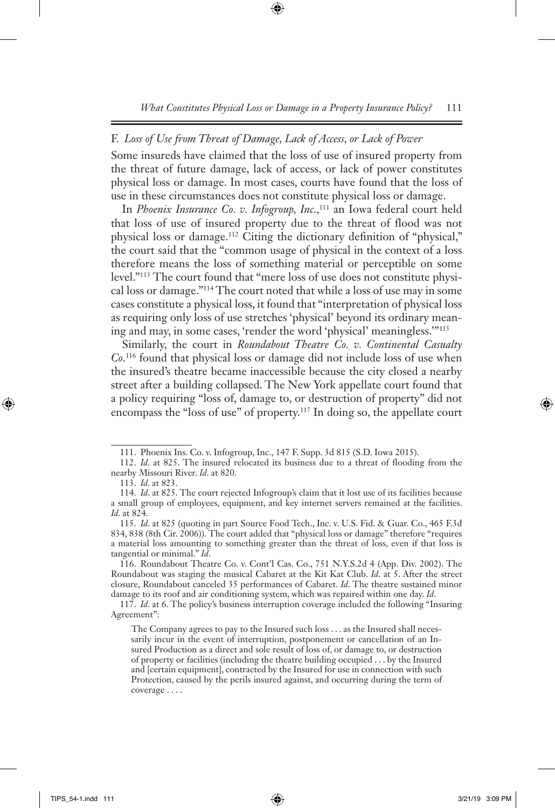## F. *Loss of Use from Threat of Damage, Lack of Access, or Lack of Power*

Some insureds have claimed that the loss of use of insured property from the threat of future damage, lack of access, or lack of power constitutes physical loss or damage. In most cases, courts have found that the loss of use in these circumstances does not constitute physical loss or damage.

In *Phoenix Insurance Co. v. Infogroup, Inc.*,<sup>111</sup> an Iowa federal court held that loss of use of insured property due to the threat of flood was not physical loss or damage.112 Citing the dictionary definition of "physical," the court said that the "common usage of physical in the context of a loss therefore means the loss of something material or perceptible on some level."113 The court found that "mere loss of use does not constitute physical loss or damage."114 The court noted that while a loss of use may in some cases constitute a physical loss, it found that "interpretation of physical loss as requiring only loss of use stretches 'physical' beyond its ordinary meaning and may, in some cases, 'render the word 'physical' meaningless.'"115

Similarly, the court in *Roundabout Theatre Co. v. Continental Casualty Co*. 116 found that physical loss or damage did not include loss of use when the insured's theatre became inaccessible because the city closed a nearby street after a building collapsed. The New York appellate court found that a policy requiring "loss of, damage to, or destruction of property" did not encompass the "loss of use" of property.117 In doing so, the appellate court

<sup>111.</sup> Phoenix Ins. Co. v. Infogroup, Inc., 147 F. Supp. 3d 815 (S.D. Iowa 2015).

<sup>112.</sup> *Id*. at 825. The insured relocated its business due to a threat of flooding from the nearby Missouri River. *Id*. at 820.

<sup>113.</sup> *Id*. at 823.

<sup>114.</sup> *Id*. at 825. The court rejected Infogroup's claim that it lost use of its facilities because a small group of employees, equipment, and key internet servers remained at the facilities. *Id*. at 824.

<sup>115.</sup> *Id*. at 825 (quoting in part Source Food Tech., Inc. v. U.S. Fid. & Guar. Co., 465 F.3d 834, 838 (8th Cir. 2006)). The court added that "physical loss or damage" therefore "requires a material loss amounting to something greater than the threat of loss, even if that loss is tangential or minimal." *Id*.

<sup>116.</sup> Roundabout Theatre Co. v. Cont'l Cas. Co., 751 N.Y.S.2d 4 (App. Div. 2002). The Roundabout was staging the musical Cabaret at the Kit Kat Club. *Id*. at 5. After the street closure, Roundabout canceled 35 performances of Cabaret. *Id*. The theatre sustained minor damage to its roof and air conditioning system, which was repaired within one day. *Id*.

<sup>117.</sup> *Id*. at 6. The policy's business interruption coverage included the following "Insuring Agreement":

The Company agrees to pay to the Insured such loss . . . as the Insured shall necessarily incur in the event of interruption, postponement or cancellation of an Insured Production as a direct and sole result of loss of, or damage to, or destruction of property or facilities (including the theatre building occupied . . . by the Insured and [certain equipment], contracted by the Insured for use in connection with such Protection, caused by the perils insured against, and occurring during the term of coverage . . . .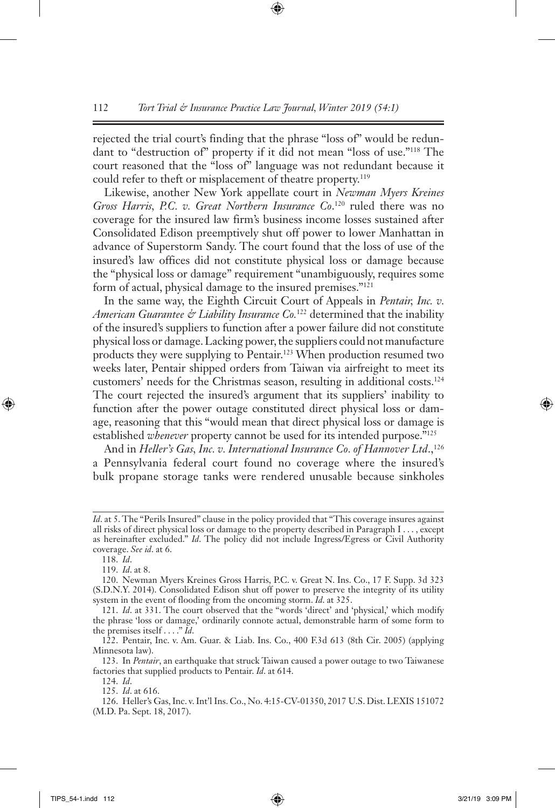rejected the trial court's finding that the phrase "loss of" would be redundant to "destruction of" property if it did not mean "loss of use."118 The court reasoned that the "loss of" language was not redundant because it could refer to theft or misplacement of theatre property.<sup>119</sup>

Likewise, another New York appellate court in *Newman Myers Kreines Gross Harris, P.C. v. Great Northern Insurance Co*. 120 ruled there was no coverage for the insured law firm's business income losses sustained after Consolidated Edison preemptively shut off power to lower Manhattan in advance of Superstorm Sandy. The court found that the loss of use of the insured's law offices did not constitute physical loss or damage because the "physical loss or damage" requirement "unambiguously, requires some form of actual, physical damage to the insured premises."121

In the same way, the Eighth Circuit Court of Appeals in *Pentair, Inc. v. American Guarantee & Liability Insurance Co.*122 determined that the inability of the insured's suppliers to function after a power failure did not constitute physical loss or damage. Lacking power, the suppliers could not manufacture products they were supplying to Pentair.<sup>123</sup> When production resumed two weeks later, Pentair shipped orders from Taiwan via airfreight to meet its customers' needs for the Christmas season, resulting in additional costs.124 The court rejected the insured's argument that its suppliers' inability to function after the power outage constituted direct physical loss or damage, reasoning that this "would mean that direct physical loss or damage is established *whenever* property cannot be used for its intended purpose."125

And in *Heller's Gas, Inc. v. International Insurance Co. of Hannover Ltd.*,<sup>126</sup> a Pennsylvania federal court found no coverage where the insured's bulk propane storage tanks were rendered unusable because sinkholes

*Id*. at 5. The "Perils Insured" clause in the policy provided that "This coverage insures against all risks of direct physical loss or damage to the property described in Paragraph I . . . , except as hereinafter excluded." *Id*. The policy did not include Ingress/Egress or Civil Authority coverage. *See id*. at 6.

<sup>118.</sup> *Id*.

<sup>119.</sup> *Id*. at 8.

<sup>120.</sup> Newman Myers Kreines Gross Harris, P.C. v. Great N. Ins. Co., 17 F. Supp. 3d 323 (S.D.N.Y. 2014). Consolidated Edison shut off power to preserve the integrity of its utility system in the event of flooding from the oncoming storm. *Id*. at 325.

<sup>121.</sup> *Id*. at 331. The court observed that the "words 'direct' and 'physical,' which modify the phrase 'loss or damage,' ordinarily connote actual, demonstrable harm of some form to the premises itself . . . ." *Id*.

<sup>122.</sup> Pentair, Inc. v. Am. Guar. & Liab. Ins. Co., 400 F.3d 613 (8th Cir. 2005) (applying Minnesota law).

<sup>123.</sup> In *Pentair*, an earthquake that struck Taiwan caused a power outage to two Taiwanese factories that supplied products to Pentair. *Id*. at 614.

<sup>124.</sup> *Id*.

<sup>125.</sup> *Id*. at 616.

<sup>126.</sup> Heller's Gas, Inc. v. Int'l Ins. Co., No. 4:15-CV-01350, 2017 U.S. Dist. LEXIS 151072 (M.D. Pa. Sept. 18, 2017).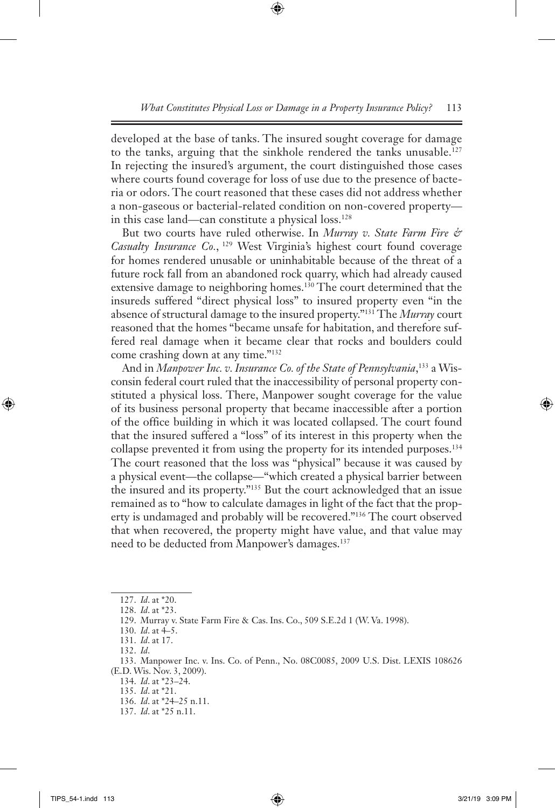developed at the base of tanks. The insured sought coverage for damage to the tanks, arguing that the sinkhole rendered the tanks unusable.127 In rejecting the insured's argument, the court distinguished those cases where courts found coverage for loss of use due to the presence of bacteria or odors. The court reasoned that these cases did not address whether a non-gaseous or bacterial-related condition on non-covered property in this case land—can constitute a physical loss.128

But two courts have ruled otherwise. In *Murray v. State Farm Fire &*  Casualty Insurance Co., <sup>129</sup> West Virginia's highest court found coverage for homes rendered unusable or uninhabitable because of the threat of a future rock fall from an abandoned rock quarry, which had already caused extensive damage to neighboring homes.<sup>130</sup> The court determined that the insureds suffered "direct physical loss" to insured property even "in the absence of structural damage to the insured property."131 The *Murray* court reasoned that the homes "became unsafe for habitation, and therefore suffered real damage when it became clear that rocks and boulders could come crashing down at any time."132

And in *Manpower Inc. v. Insurance Co. of the State of Pennsylvania*, 133 a Wisconsin federal court ruled that the inaccessibility of personal property constituted a physical loss. There, Manpower sought coverage for the value of its business personal property that became inaccessible after a portion of the office building in which it was located collapsed. The court found that the insured suffered a "loss" of its interest in this property when the collapse prevented it from using the property for its intended purposes.<sup>134</sup> The court reasoned that the loss was "physical" because it was caused by a physical event—the collapse—"which created a physical barrier between the insured and its property."135 But the court acknowledged that an issue remained as to "how to calculate damages in light of the fact that the property is undamaged and probably will be recovered."136 The court observed that when recovered, the property might have value, and that value may need to be deducted from Manpower's damages.<sup>137</sup>

- 136. *Id*. at \*24–25 n.11.
- 137. *Id*. at \*25 n.11.

<sup>127.</sup> *Id*. at \*20.

<sup>128.</sup> *Id*. at \*23.

<sup>129.</sup> Murray v. State Farm Fire & Cas. Ins. Co., 509 S.E.2d 1 (W. Va. 1998).

<sup>130.</sup> *Id*. at 4–5.

<sup>131.</sup> *Id*. at 17.

<sup>132.</sup> *Id*.

<sup>133.</sup> Manpower Inc. v. Ins. Co. of Penn., No. 08C0085, 2009 U.S. Dist. LEXIS 108626 (E.D. Wis. Nov. 3, 2009).

<sup>134.</sup> *Id*. at \*23–24.

<sup>135.</sup> *Id*. at \*21.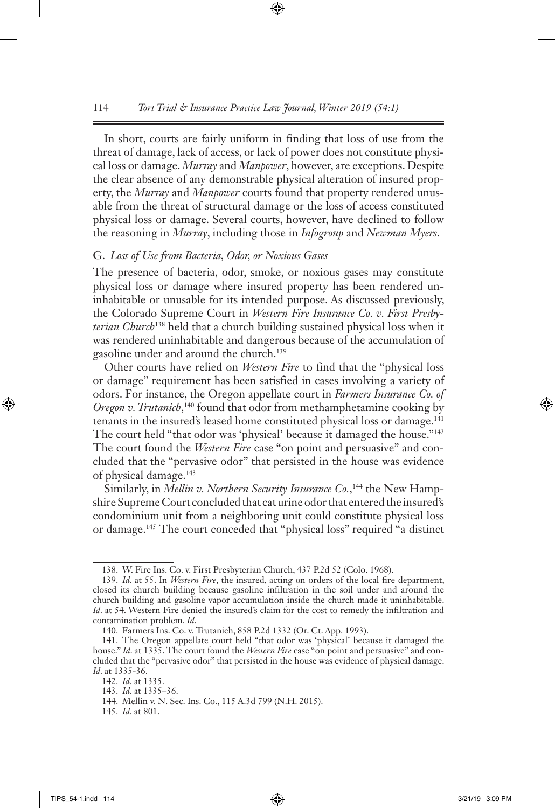In short, courts are fairly uniform in finding that loss of use from the threat of damage, lack of access, or lack of power does not constitute physical loss or damage. *Murray* and *Manpower*, however, are exceptions. Despite the clear absence of any demonstrable physical alteration of insured property, the *Murray* and *Manpower* courts found that property rendered unusable from the threat of structural damage or the loss of access constituted physical loss or damage. Several courts, however, have declined to follow the reasoning in *Murray*, including those in *Infogroup* and *Newman Myers*.

#### G. *Loss of Use from Bacteria, Odor, or Noxious Gases*

The presence of bacteria, odor, smoke, or noxious gases may constitute physical loss or damage where insured property has been rendered uninhabitable or unusable for its intended purpose. As discussed previously, the Colorado Supreme Court in *Western Fire Insurance Co. v. First Presbyterian Church*138 held that a church building sustained physical loss when it was rendered uninhabitable and dangerous because of the accumulation of gasoline under and around the church.139

Other courts have relied on *Western Fire* to find that the "physical loss or damage" requirement has been satisfied in cases involving a variety of odors. For instance, the Oregon appellate court in *Farmers Insurance Co. of Oregon v. Trutanich*, 140 found that odor from methamphetamine cooking by tenants in the insured's leased home constituted physical loss or damage.141 The court held "that odor was 'physical' because it damaged the house."<sup>142</sup> The court found the *Western Fire* case "on point and persuasive" and concluded that the "pervasive odor" that persisted in the house was evidence of physical damage.143

Similarly, in *Mellin v. Northern Security Insurance Co.*,<sup>144</sup> the New Hampshire Supreme Court concluded that cat urine odor that entered the insured's condominium unit from a neighboring unit could constitute physical loss or damage.145 The court conceded that "physical loss" required "a distinct

145. *Id*. at 801.

<sup>138.</sup> W. Fire Ins. Co. v. First Presbyterian Church, 437 P.2d 52 (Colo. 1968).

<sup>139.</sup> *Id*. at 55. In *Western Fire*, the insured, acting on orders of the local fire department, closed its church building because gasoline infiltration in the soil under and around the church building and gasoline vapor accumulation inside the church made it uninhabitable. *Id.* at 54. Western Fire denied the insured's claim for the cost to remedy the infiltration and contamination problem. *Id*.

<sup>140.</sup> Farmers Ins. Co. v. Trutanich, 858 P.2d 1332 (Or. Ct. App. 1993).

<sup>141.</sup> The Oregon appellate court held "that odor was 'physical' because it damaged the house." *Id*. at 1335. The court found the *Western Fire* case "on point and persuasive" and concluded that the "pervasive odor" that persisted in the house was evidence of physical damage. *Id*. at 1335-36.

<sup>142.</sup> *Id*. at 1335.

<sup>143.</sup> *Id*. at 1335–36.

<sup>144.</sup> Mellin v. N. Sec. Ins. Co., 115 A.3d 799 (N.H. 2015).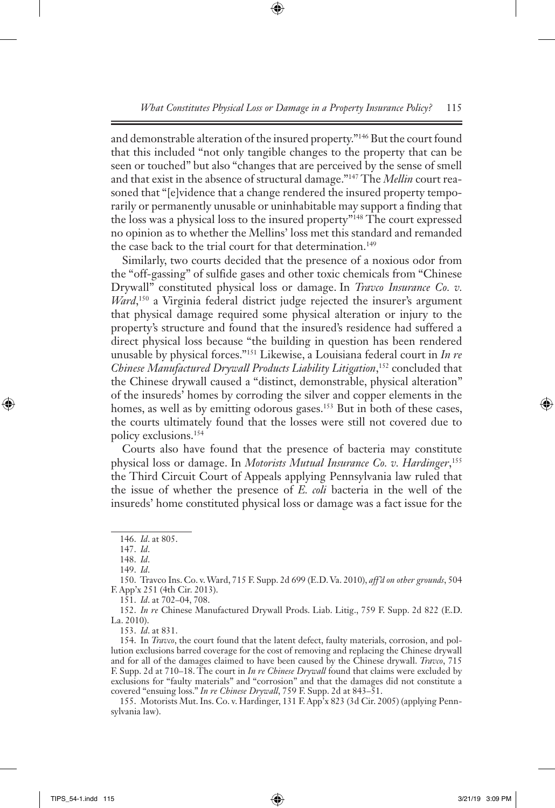and demonstrable alteration of the insured property."146 But the court found that this included "not only tangible changes to the property that can be seen or touched" but also "changes that are perceived by the sense of smell and that exist in the absence of structural damage."147 The *Mellin* court reasoned that "[e]vidence that a change rendered the insured property temporarily or permanently unusable or uninhabitable may support a finding that the loss was a physical loss to the insured property"148 The court expressed no opinion as to whether the Mellins' loss met this standard and remanded the case back to the trial court for that determination.<sup>149</sup>

Similarly, two courts decided that the presence of a noxious odor from the "off-gassing" of sulfide gases and other toxic chemicals from "Chinese Drywall" constituted physical loss or damage. In *Travco Insurance Co. v. Ward*, 150 a Virginia federal district judge rejected the insurer's argument that physical damage required some physical alteration or injury to the property's structure and found that the insured's residence had suffered a direct physical loss because "the building in question has been rendered unusable by physical forces."151 Likewise, a Louisiana federal court in *In re Chinese Manufactured Drywall Products Liability Litigation*, 152 concluded that the Chinese drywall caused a "distinct, demonstrable, physical alteration" of the insureds' homes by corroding the silver and copper elements in the homes, as well as by emitting odorous gases.<sup>153</sup> But in both of these cases, the courts ultimately found that the losses were still not covered due to policy exclusions.154

Courts also have found that the presence of bacteria may constitute physical loss or damage. In *Motorists Mutual Insurance Co. v. Hardinger*, 155 the Third Circuit Court of Appeals applying Pennsylvania law ruled that the issue of whether the presence of *E. coli* bacteria in the well of the insureds' home constituted physical loss or damage was a fact issue for the

150. Travco Ins. Co. v. Ward, 715 F. Supp. 2d 699 (E.D. Va. 2010), *aff'd on other grounds*, 504 F. App'x 251 (4th Cir. 2013).

151. *Id*. at 702–04, 708.

152. *In re* Chinese Manufactured Drywall Prods. Liab. Litig., 759 F. Supp. 2d 822 (E.D. La. 2010).

153. *Id*. at 831.

154. In *Travco*, the court found that the latent defect, faulty materials, corrosion, and pollution exclusions barred coverage for the cost of removing and replacing the Chinese drywall and for all of the damages claimed to have been caused by the Chinese drywall. *Travco*, 715 F. Supp. 2d at 710–18. The court in *In re Chinese Drywall* found that claims were excluded by exclusions for "faulty materials" and "corrosion" and that the damages did not constitute a covered "ensuing loss." *In re Chinese Drywall*, 759 F. Supp. 2d at 843–51.

155. Motorists Mut. Ins. Co. v. Hardinger, 131 F. App'x 823 (3d Cir. 2005) (applying Pennsylvania law).

<sup>146.</sup> *Id*. at 805.

<sup>147.</sup> *Id*.

<sup>148.</sup> *Id*.

<sup>149.</sup> *Id*.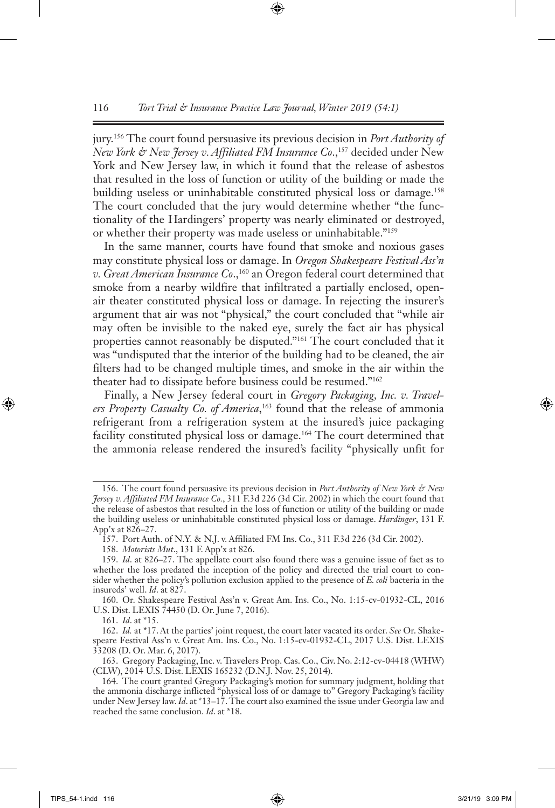jury.156 The court found persuasive its previous decision in *Port Authority of New York & New Jersey v. Affiliated FM Insurance Co.*,<sup>157</sup> decided under New York and New Jersey law, in which it found that the release of asbestos that resulted in the loss of function or utility of the building or made the building useless or uninhabitable constituted physical loss or damage.<sup>158</sup> The court concluded that the jury would determine whether "the functionality of the Hardingers' property was nearly eliminated or destroyed, or whether their property was made useless or uninhabitable."159

In the same manner, courts have found that smoke and noxious gases may constitute physical loss or damage. In *Oregon Shakespeare Festival Ass'n v. Great American Insurance Co.*,<sup>160</sup> an Oregon federal court determined that smoke from a nearby wildfire that infiltrated a partially enclosed, openair theater constituted physical loss or damage. In rejecting the insurer's argument that air was not "physical," the court concluded that "while air may often be invisible to the naked eye, surely the fact air has physical properties cannot reasonably be disputed."161 The court concluded that it was "undisputed that the interior of the building had to be cleaned, the air filters had to be changed multiple times, and smoke in the air within the theater had to dissipate before business could be resumed."162

Finally, a New Jersey federal court in *Gregory Packaging, Inc. v. Travelers Property Casualty Co. of America*, 163 found that the release of ammonia refrigerant from a refrigeration system at the insured's juice packaging facility constituted physical loss or damage.164 The court determined that the ammonia release rendered the insured's facility "physically unfit for

<sup>156.</sup> The court found persuasive its previous decision in *Port Authority of New York & New Jersey v. Affiliated FM Insurance Co.*, 311 F.3d 226 (3d Cir. 2002) in which the court found that the release of asbestos that resulted in the loss of function or utility of the building or made the building useless or uninhabitable constituted physical loss or damage. *Hardinger*, 131 F. App'x at 826–27.

<sup>157.</sup> Port Auth. of N.Y. & N.J. v. Affiliated FM Ins. Co., 311 F.3d 226 (3d Cir. 2002).

<sup>158.</sup> *Motorists Mut*., 131 F. App'x at 826.

<sup>159.</sup> *Id*. at 826–27. The appellate court also found there was a genuine issue of fact as to whether the loss predated the inception of the policy and directed the trial court to consider whether the policy's pollution exclusion applied to the presence of *E. coli* bacteria in the insureds' well. *Id*. at 827.

<sup>160.</sup> Or. Shakespeare Festival Ass'n v. Great Am. Ins. Co., No. 1:15-cv-01932-CL, 2016 U.S. Dist. LEXIS 74450 (D. Or. June 7, 2016).

<sup>161.</sup> *Id*. at \*15.

<sup>162.</sup> *Id.* at \*17. At the parties' joint request, the court later vacated its order. *See* Or. Shakespeare Festival Ass'n v. Great Am. Ins. Co., No. 1:15-cv-01932-CL, 2017 U.S. Dist. LEXIS 33208 (D. Or. Mar. 6, 2017).

<sup>163.</sup> Gregory Packaging, Inc. v. Travelers Prop. Cas. Co., Civ. No. 2:12-cv-04418 (WHW) (CLW), 2014 U.S. Dist. LEXIS 165232 (D.N.J. Nov. 25, 2014).

<sup>164.</sup> The court granted Gregory Packaging's motion for summary judgment, holding that the ammonia discharge inflicted "physical loss of or damage to" Gregory Packaging's facility under New Jersey law. *Id*. at \*13–17. The court also examined the issue under Georgia law and reached the same conclusion. *Id*. at \*18.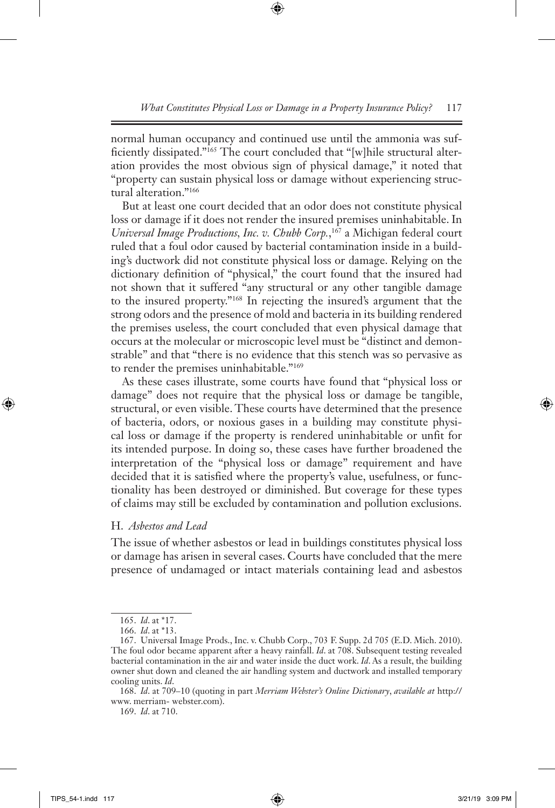normal human occupancy and continued use until the ammonia was sufficiently dissipated."165 The court concluded that "[w]hile structural alteration provides the most obvious sign of physical damage," it noted that "property can sustain physical loss or damage without experiencing structural alteration."166

But at least one court decided that an odor does not constitute physical loss or damage if it does not render the insured premises uninhabitable. In *Universal Image Productions, Inc. v. Chubb Corp.*, 167 a Michigan federal court ruled that a foul odor caused by bacterial contamination inside in a building's ductwork did not constitute physical loss or damage. Relying on the dictionary definition of "physical," the court found that the insured had not shown that it suffered "any structural or any other tangible damage to the insured property."168 In rejecting the insured's argument that the strong odors and the presence of mold and bacteria in its building rendered the premises useless, the court concluded that even physical damage that occurs at the molecular or microscopic level must be "distinct and demonstrable" and that "there is no evidence that this stench was so pervasive as to render the premises uninhabitable."169

As these cases illustrate, some courts have found that "physical loss or damage" does not require that the physical loss or damage be tangible, structural, or even visible. These courts have determined that the presence of bacteria, odors, or noxious gases in a building may constitute physical loss or damage if the property is rendered uninhabitable or unfit for its intended purpose. In doing so, these cases have further broadened the interpretation of the "physical loss or damage" requirement and have decided that it is satisfied where the property's value, usefulness, or functionality has been destroyed or diminished. But coverage for these types of claims may still be excluded by contamination and pollution exclusions.

# H. *Asbestos and Lead*

The issue of whether asbestos or lead in buildings constitutes physical loss or damage has arisen in several cases. Courts have concluded that the mere presence of undamaged or intact materials containing lead and asbestos

<sup>165.</sup> *Id*. at \*17.

<sup>166.</sup> *Id*. at \*13.

<sup>167.</sup> Universal Image Prods., Inc. v. Chubb Corp., 703 F. Supp. 2d 705 (E.D. Mich. 2010). The foul odor became apparent after a heavy rainfall. *Id*. at 708. Subsequent testing revealed bacterial contamination in the air and water inside the duct work. *Id*. As a result, the building owner shut down and cleaned the air handling system and ductwork and installed temporary cooling units. *Id*.

<sup>168.</sup> *Id*. at 709–10 (quoting in part *Merriam Webster's Online Dictionary*, *available at* http:// www. merriam- webster.com).

<sup>169.</sup> *Id*. at 710.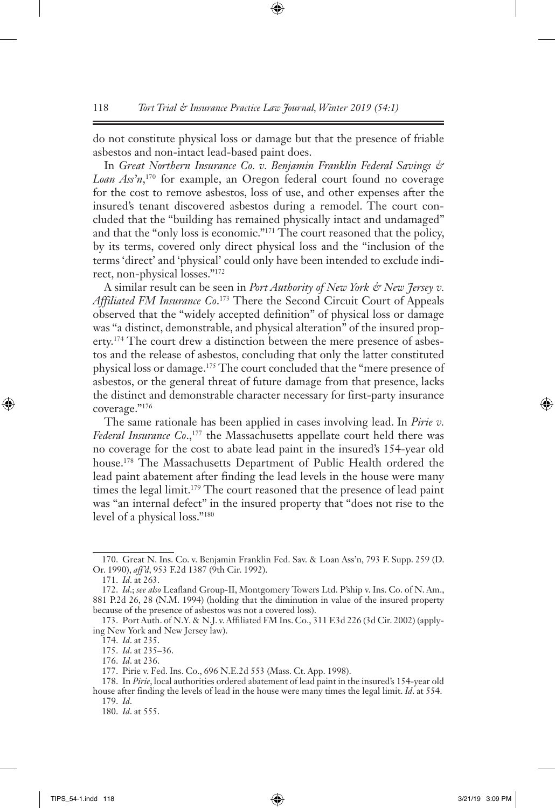do not constitute physical loss or damage but that the presence of friable asbestos and non-intact lead-based paint does.

In *Great Northern Insurance Co. v. Benjamin Franklin Federal Savings & Loan Ass'n*, 170 for example, an Oregon federal court found no coverage for the cost to remove asbestos, loss of use, and other expenses after the insured's tenant discovered asbestos during a remodel. The court concluded that the "building has remained physically intact and undamaged" and that the "only loss is economic."171 The court reasoned that the policy, by its terms, covered only direct physical loss and the "inclusion of the terms 'direct' and 'physical' could only have been intended to exclude indirect, non-physical losses."172

A similar result can be seen in *Port Authority of New York & New Jersey v. Affiliated FM Insurance Co*. 173 There the Second Circuit Court of Appeals observed that the "widely accepted definition" of physical loss or damage was "a distinct, demonstrable, and physical alteration" of the insured property.<sup>174</sup> The court drew a distinction between the mere presence of asbestos and the release of asbestos, concluding that only the latter constituted physical loss or damage.175 The court concluded that the "mere presence of asbestos, or the general threat of future damage from that presence, lacks the distinct and demonstrable character necessary for first-party insurance coverage."176

The same rationale has been applied in cases involving lead. In *Pirie v.*  Federal Insurance Co.,<sup>177</sup> the Massachusetts appellate court held there was no coverage for the cost to abate lead paint in the insured's 154-year old house.<sup>178</sup> The Massachusetts Department of Public Health ordered the lead paint abatement after finding the lead levels in the house were many times the legal limit.<sup>179</sup> The court reasoned that the presence of lead paint was "an internal defect" in the insured property that "does not rise to the level of a physical loss."180

<sup>170.</sup> Great N. Ins. Co. v. Benjamin Franklin Fed. Sav. & Loan Ass'n, 793 F. Supp. 259 (D. Or. 1990), *aff'd*, 953 F.2d 1387 (9th Cir. 1992).

<sup>171.</sup> *Id*. at 263.

<sup>172.</sup> *Id*.; *see also* Leafland Group-II, Montgomery Towers Ltd. P'ship v. Ins. Co. of N. Am., 881 P.2d 26, 28 (N.M. 1994) (holding that the diminution in value of the insured property because of the presence of asbestos was not a covered loss).

<sup>173.</sup> Port Auth. of N.Y. & N.J. v. Affiliated FM Ins. Co., 311 F.3d 226 (3d Cir. 2002) (applying New York and New Jersey law).

<sup>174.</sup> *Id*. at 235.

<sup>175.</sup> *Id*. at 235–36.

<sup>176.</sup> *Id*. at 236.

<sup>177.</sup> Pirie v. Fed. Ins. Co., 696 N.E.2d 553 (Mass. Ct. App. 1998).

<sup>178.</sup> In *Pirie*, local authorities ordered abatement of lead paint in the insured's 154-year old house after finding the levels of lead in the house were many times the legal limit. *Id*. at 554. 179. *Id*.

<sup>180.</sup> *Id*. at 555.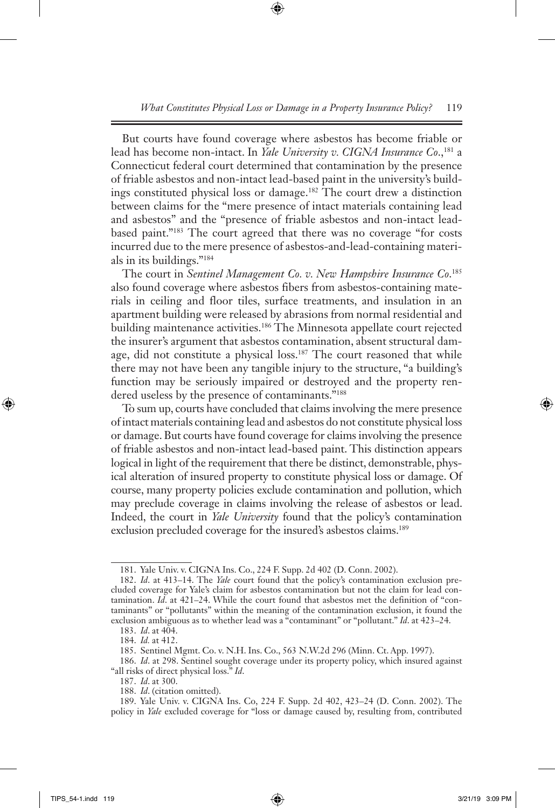But courts have found coverage where asbestos has become friable or lead has become non-intact. In *Yale University v. CIGNA Insurance Co*.,181 a Connecticut federal court determined that contamination by the presence of friable asbestos and non-intact lead-based paint in the university's buildings constituted physical loss or damage.182 The court drew a distinction between claims for the "mere presence of intact materials containing lead and asbestos" and the "presence of friable asbestos and non-intact leadbased paint."183 The court agreed that there was no coverage "for costs incurred due to the mere presence of asbestos-and-lead-containing materials in its buildings."184

The court in *Sentinel Management Co. v. New Hampshire Insurance Co*. 185 also found coverage where asbestos fibers from asbestos-containing materials in ceiling and floor tiles, surface treatments, and insulation in an apartment building were released by abrasions from normal residential and building maintenance activities.<sup>186</sup> The Minnesota appellate court rejected the insurer's argument that asbestos contamination, absent structural damage, did not constitute a physical loss.<sup>187</sup> The court reasoned that while there may not have been any tangible injury to the structure, "a building's function may be seriously impaired or destroyed and the property rendered useless by the presence of contaminants."<sup>188</sup>

To sum up, courts have concluded that claims involving the mere presence of intact materials containing lead and asbestos do not constitute physical loss or damage. But courts have found coverage for claims involving the presence of friable asbestos and non-intact lead-based paint. This distinction appears logical in light of the requirement that there be distinct, demonstrable, physical alteration of insured property to constitute physical loss or damage. Of course, many property policies exclude contamination and pollution, which may preclude coverage in claims involving the release of asbestos or lead. Indeed, the court in *Yale University* found that the policy's contamination exclusion precluded coverage for the insured's asbestos claims.<sup>189</sup>

<sup>181.</sup> Yale Univ. v. CIGNA Ins. Co., 224 F. Supp. 2d 402 (D. Conn. 2002).

<sup>182.</sup> *Id*. at 413–14. The *Yale* court found that the policy's contamination exclusion precluded coverage for Yale's claim for asbestos contamination but not the claim for lead contamination. *Id*. at 421–24. While the court found that asbestos met the definition of "contaminants" or "pollutants" within the meaning of the contamination exclusion, it found the exclusion ambiguous as to whether lead was a "contaminant" or "pollutant." *Id*. at 423–24.

<sup>183.</sup> *Id*. at 404.

<sup>184.</sup> *Id.* at 412.

<sup>185.</sup> Sentinel Mgmt. Co. v. N.H. Ins. Co., 563 N.W.2d 296 (Minn. Ct. App. 1997).

<sup>186.</sup> *Id*. at 298. Sentinel sought coverage under its property policy, which insured against "all risks of direct physical loss." *Id*.

<sup>187.</sup> *Id*. at 300.

<sup>188.</sup> *Id*. (citation omitted).

<sup>189.</sup> Yale Univ. v. CIGNA Ins. Co, 224 F. Supp. 2d 402, 423–24 (D. Conn. 2002). The policy in *Yale* excluded coverage for "loss or damage caused by, resulting from, contributed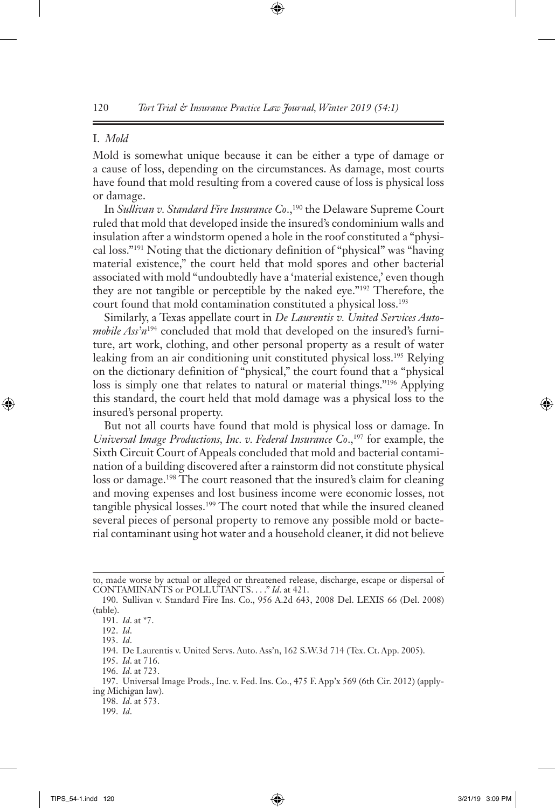## I. *Mold*

Mold is somewhat unique because it can be either a type of damage or a cause of loss, depending on the circumstances. As damage, most courts have found that mold resulting from a covered cause of loss is physical loss or damage.

In *Sullivan v. Standard Fire Insurance Co.*,<sup>190</sup> the Delaware Supreme Court ruled that mold that developed inside the insured's condominium walls and insulation after a windstorm opened a hole in the roof constituted a "physical loss."191 Noting that the dictionary definition of "physical" was "having material existence," the court held that mold spores and other bacterial associated with mold "undoubtedly have a 'material existence,' even though they are not tangible or perceptible by the naked eye."192 Therefore, the court found that mold contamination constituted a physical loss.<sup>193</sup>

Similarly, a Texas appellate court in *De Laurentis v. United Services Automobile Ass'n*194 concluded that mold that developed on the insured's furniture, art work, clothing, and other personal property as a result of water leaking from an air conditioning unit constituted physical loss.195 Relying on the dictionary definition of "physical," the court found that a "physical loss is simply one that relates to natural or material things."196 Applying this standard, the court held that mold damage was a physical loss to the insured's personal property.

But not all courts have found that mold is physical loss or damage. In *Universal Image Productions, Inc. v. Federal Insurance Co.*,<sup>197</sup> for example, the Sixth Circuit Court of Appeals concluded that mold and bacterial contamination of a building discovered after a rainstorm did not constitute physical loss or damage.198 The court reasoned that the insured's claim for cleaning and moving expenses and lost business income were economic losses, not tangible physical losses.<sup>199</sup> The court noted that while the insured cleaned several pieces of personal property to remove any possible mold or bacterial contaminant using hot water and a household cleaner, it did not believe

195. *Id*. at 716.

198. *Id*. at 573.

199. *Id*.

to, made worse by actual or alleged or threatened release, discharge, escape or dispersal of CONTAMINANTS or POLLUTANTS. . . ." *Id*. at 421.

<sup>190.</sup> Sullivan v. Standard Fire Ins. Co., 956 A.2d 643, 2008 Del. LEXIS 66 (Del. 2008) (table).

<sup>191.</sup> *Id*. at \*7.

<sup>192.</sup> *Id*.

<sup>193.</sup> *Id*.

<sup>194.</sup> De Laurentis v. United Servs. Auto. Ass'n, 162 S.W.3d 714 (Tex. Ct. App. 2005).

<sup>196.</sup> *Id*. at 723.

<sup>197.</sup> Universal Image Prods., Inc. v. Fed. Ins. Co., 475 F. App'x 569 (6th Cir. 2012) (applying Michigan law).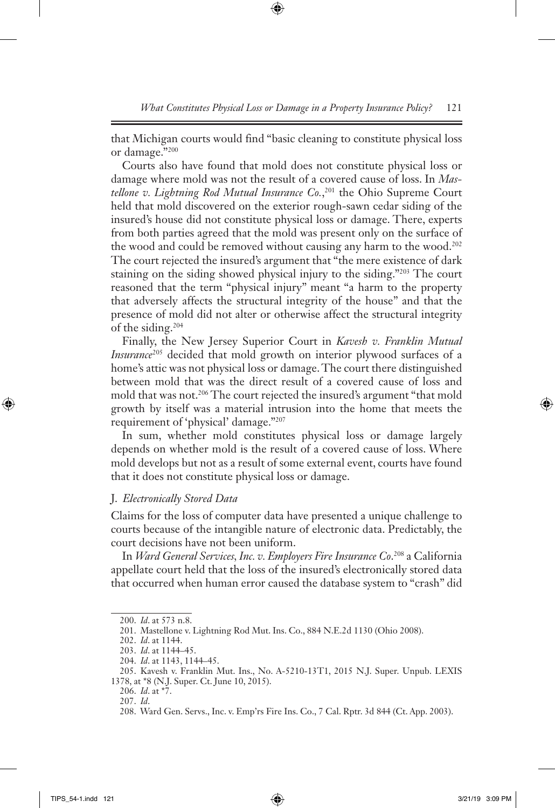that Michigan courts would find "basic cleaning to constitute physical loss or damage."200

Courts also have found that mold does not constitute physical loss or damage where mold was not the result of a covered cause of loss. In *Mastellone v. Lightning Rod Mutual Insurance Co.*, 201 the Ohio Supreme Court held that mold discovered on the exterior rough-sawn cedar siding of the insured's house did not constitute physical loss or damage. There, experts from both parties agreed that the mold was present only on the surface of the wood and could be removed without causing any harm to the wood.<sup>202</sup> The court rejected the insured's argument that "the mere existence of dark staining on the siding showed physical injury to the siding."203 The court reasoned that the term "physical injury" meant "a harm to the property that adversely affects the structural integrity of the house" and that the presence of mold did not alter or otherwise affect the structural integrity of the siding.204

Finally, the New Jersey Superior Court in *Kavesh v. Franklin Mutual Insurance*205 decided that mold growth on interior plywood surfaces of a home's attic was not physical loss or damage. The court there distinguished between mold that was the direct result of a covered cause of loss and mold that was not.<sup>206</sup> The court rejected the insured's argument "that mold growth by itself was a material intrusion into the home that meets the requirement of 'physical' damage."207

In sum, whether mold constitutes physical loss or damage largely depends on whether mold is the result of a covered cause of loss. Where mold develops but not as a result of some external event, courts have found that it does not constitute physical loss or damage.

## J. *Electronically Stored Data*

Claims for the loss of computer data have presented a unique challenge to courts because of the intangible nature of electronic data. Predictably, the court decisions have not been uniform.

In *Ward General Services, Inc. v. Employers Fire Insurance Co*. 208 a California appellate court held that the loss of the insured's electronically stored data that occurred when human error caused the database system to "crash" did

<sup>200.</sup> *Id*. at 573 n.8.

<sup>201.</sup> Mastellone v. Lightning Rod Mut. Ins. Co., 884 N.E.2d 1130 (Ohio 2008).

<sup>202.</sup> *Id*. at 1144.

<sup>203.</sup> *Id*. at 1144–45.

<sup>204.</sup> *Id*. at 1143, 1144–45.

<sup>205.</sup> Kavesh v. Franklin Mut. Ins., No. A-5210-13T1, 2015 N.J. Super. Unpub. LEXIS 1378, at \*8 (N.J. Super. Ct. June 10, 2015).

<sup>206.</sup> *Id*. at \*7.

<sup>207.</sup> *Id*.

<sup>208.</sup> Ward Gen. Servs., Inc. v. Emp'rs Fire Ins. Co., 7 Cal. Rptr. 3d 844 (Ct. App. 2003).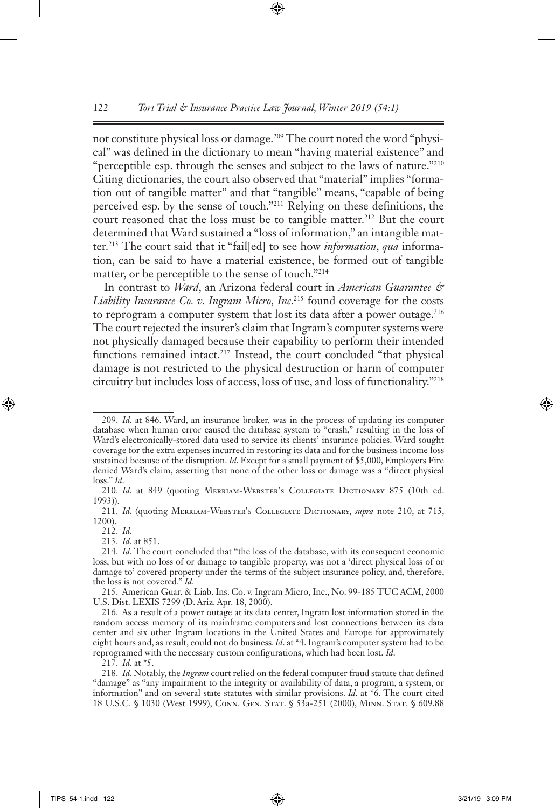not constitute physical loss or damage.209 The court noted the word "physical" was defined in the dictionary to mean "having material existence" and "perceptible esp. through the senses and subject to the laws of nature."<sup>210</sup> Citing dictionaries, the court also observed that "material" implies "formation out of tangible matter" and that "tangible" means, "capable of being perceived esp. by the sense of touch."211 Relying on these definitions, the court reasoned that the loss must be to tangible matter.<sup>212</sup> But the court determined that Ward sustained a "loss of information," an intangible matter.213 The court said that it "fail[ed] to see how *information*, *qua* information, can be said to have a material existence, be formed out of tangible matter, or be perceptible to the sense of touch."214

In contrast to *Ward*, an Arizona federal court in *American Guarantee & Liability Insurance Co. v. Ingram Micro, Inc*. 215 found coverage for the costs to reprogram a computer system that lost its data after a power outage.<sup>216</sup> The court rejected the insurer's claim that Ingram's computer systems were not physically damaged because their capability to perform their intended functions remained intact.<sup>217</sup> Instead, the court concluded "that physical damage is not restricted to the physical destruction or harm of computer circuitry but includes loss of access, loss of use, and loss of functionality."218

<sup>209.</sup> *Id*. at 846. Ward, an insurance broker, was in the process of updating its computer database when human error caused the database system to "crash," resulting in the loss of Ward's electronically-stored data used to service its clients' insurance policies. Ward sought coverage for the extra expenses incurred in restoring its data and for the business income loss sustained because of the disruption. *Id*. Except for a small payment of \$5,000, Employers Fire denied Ward's claim, asserting that none of the other loss or damage was a "direct physical loss." *Id*.

<sup>210.</sup> Id. at 849 (quoting MERRIAM-WEBSTER's COLLEGIATE DICTIONARY 875 (10th ed. 1993)).

<sup>211.</sup> *Id*. (quoting Merriam-Webster's Collegiate Dictionary, *supra* note 210, at 715, 1200).

<sup>212.</sup> *Id*.

<sup>213.</sup> *Id*. at 851.

<sup>214.</sup> *Id*. The court concluded that "the loss of the database, with its consequent economic loss, but with no loss of or damage to tangible property, was not a 'direct physical loss of or damage to' covered property under the terms of the subject insurance policy, and, therefore, the loss is not covered." *Id*.

<sup>215.</sup> American Guar. & Liab. Ins. Co. v. Ingram Micro, Inc., No. 99-185 TUC ACM, 2000 U.S. Dist. LEXIS 7299 (D. Ariz. Apr. 18, 2000).

<sup>216.</sup> As a result of a power outage at its data center, Ingram lost information stored in the random access memory of its mainframe computers and lost connections between its data center and six other Ingram locations in the United States and Europe for approximately eight hours and, as result, could not do business.*Id*. at \*4. Ingram's computer system had to be reprogramed with the necessary custom configurations, which had been lost. *Id*.

<sup>217.</sup> *Id*. at \*5.

<sup>218.</sup> *Id*. Notably, the *Ingram* court relied on the federal computer fraud statute that defined "damage" as "any impairment to the integrity or availability of data, a program, a system, or information" and on several state statutes with similar provisions. *Id*. at \*6. The court cited 18 U.S.C. § 1030 (West 1999), Conn. Gen. Stat. § 53a-251 (2000), Minn. Stat. § 609.88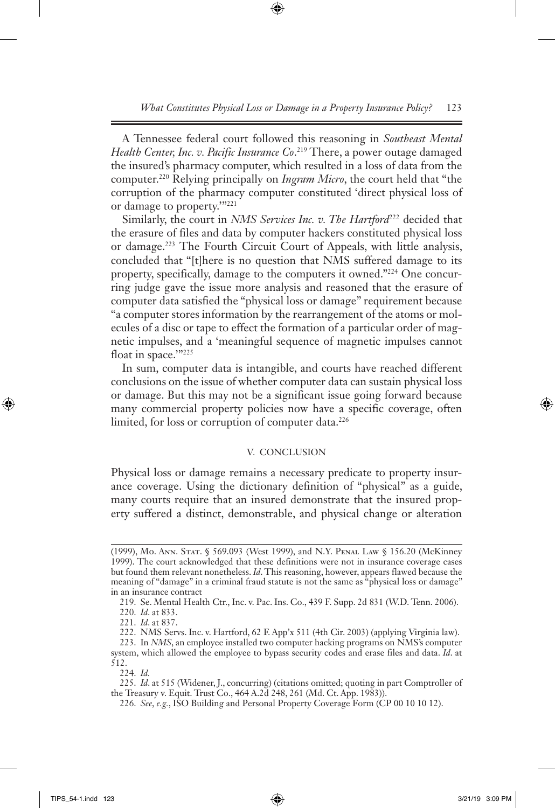A Tennessee federal court followed this reasoning in *Southeast Mental Health Center, Inc. v. Pacific Insurance Co*. 219 There, a power outage damaged the insured's pharmacy computer, which resulted in a loss of data from the computer.220 Relying principally on *Ingram Micro*, the court held that "the corruption of the pharmacy computer constituted 'direct physical loss of or damage to property.'"221

Similarly, the court in *NMS Services Inc. v. The Hartford*<sup>222</sup> decided that the erasure of files and data by computer hackers constituted physical loss or damage.223 The Fourth Circuit Court of Appeals, with little analysis, concluded that "[t]here is no question that NMS suffered damage to its property, specifically, damage to the computers it owned."224 One concurring judge gave the issue more analysis and reasoned that the erasure of computer data satisfied the "physical loss or damage" requirement because "a computer stores information by the rearrangement of the atoms or molecules of a disc or tape to effect the formation of a particular order of magnetic impulses, and a 'meaningful sequence of magnetic impulses cannot float in space."<sup>225</sup>

In sum, computer data is intangible, and courts have reached different conclusions on the issue of whether computer data can sustain physical loss or damage. But this may not be a significant issue going forward because many commercial property policies now have a specific coverage, often limited, for loss or corruption of computer data.<sup>226</sup>

#### V. CONCLUSION

Physical loss or damage remains a necessary predicate to property insurance coverage. Using the dictionary definition of "physical" as a guide, many courts require that an insured demonstrate that the insured property suffered a distinct, demonstrable, and physical change or alteration

<sup>(1999),</sup> Mo. Ann. Stat. § 569.093 (West 1999), and N.Y. Penal Law § 156.20 (McKinney 1999). The court acknowledged that these definitions were not in insurance coverage cases but found them relevant nonetheless. *Id*. This reasoning, however, appears flawed because the meaning of "damage" in a criminal fraud statute is not the same as "physical loss or damage" in an insurance contract

<sup>219.</sup> Se. Mental Health Ctr., Inc. v. Pac. Ins. Co., 439 F. Supp. 2d 831 (W.D. Tenn. 2006).

<sup>220.</sup> *Id*. at 833.

<sup>221.</sup> *Id*. at 837.

<sup>222.</sup> NMS Servs. Inc. v. Hartford, 62 F. App'x 511 (4th Cir. 2003) (applying Virginia law).

<sup>223.</sup> In *NMS*, an employee installed two computer hacking programs on NMS's computer system, which allowed the employee to bypass security codes and erase files and data. *Id*. at 512.

<sup>224.</sup> *Id.*

<sup>225.</sup> *Id*. at 515 (Widener, J., concurring) (citations omitted; quoting in part Comptroller of the Treasury v. Equit. Trust Co., 464 A.2d 248, 261 (Md. Ct. App. 1983)).

<sup>226.</sup> *See*, *e.g.*, ISO Building and Personal Property Coverage Form (CP 00 10 10 12).